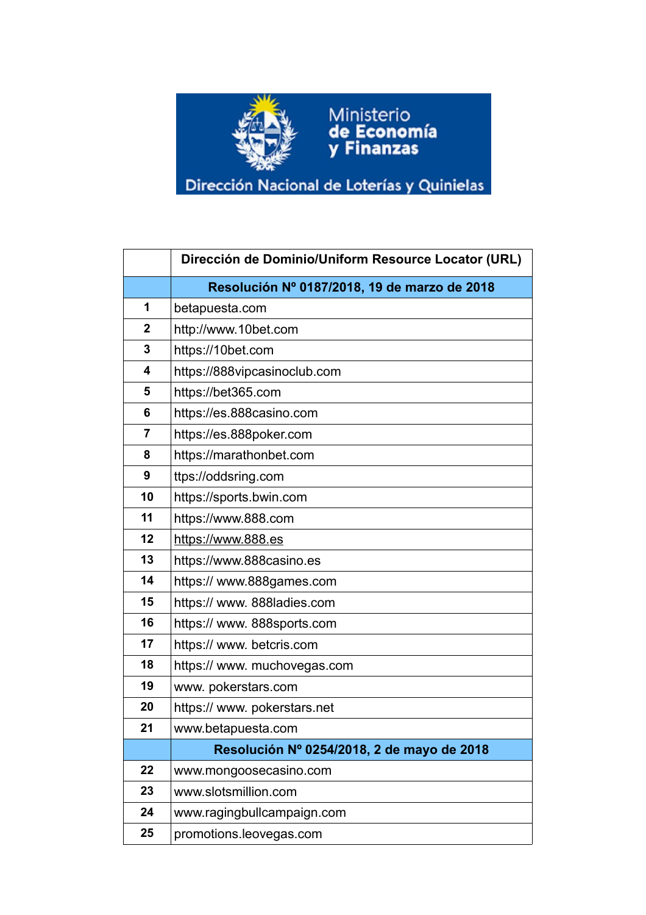

## Dirección Nacional de Loterías y Quinielas

Ministerio<br>**de Economía**<br>**y Finanzas** 

|                | Dirección de Dominio/Uniform Resource Locator (URL) |
|----------------|-----------------------------------------------------|
|                | Resolución Nº 0187/2018, 19 de marzo de 2018        |
| 1              | betapuesta.com                                      |
| $\mathbf{2}$   | http://www.10bet.com                                |
| 3              | https://10bet.com                                   |
| 4              | https://888vipcasinoclub.com                        |
| 5              | https://bet365.com                                  |
| 6              | https://es.888casino.com                            |
| $\overline{7}$ | https://es.888poker.com                             |
| 8              | https://marathonbet.com                             |
| 9              | ttps://oddsring.com                                 |
| 10             | https://sports.bwin.com                             |
| 11             | https://www.888.com                                 |
| 12             | https://www.888.es                                  |
| 13             | https://www.888casino.es                            |
| 14             | https:// www.888games.com                           |
| 15             | https:// www. 888ladies.com                         |
| 16             | https:// www. 888sports.com                         |
| 17             | https:// www. betcris.com                           |
| 18             | https:// www. muchovegas.com                        |
| 19             | www.pokerstars.com                                  |
| 20             | https:// www. pokerstars.net                        |
| 21             | www.betapuesta.com                                  |
|                | Resolución Nº 0254/2018, 2 de mayo de 2018          |
| 22             | www.mongoosecasino.com                              |
| 23             | www.slotsmillion.com                                |
| 24             | www.ragingbullcampaign.com                          |
| 25             | promotions.leovegas.com                             |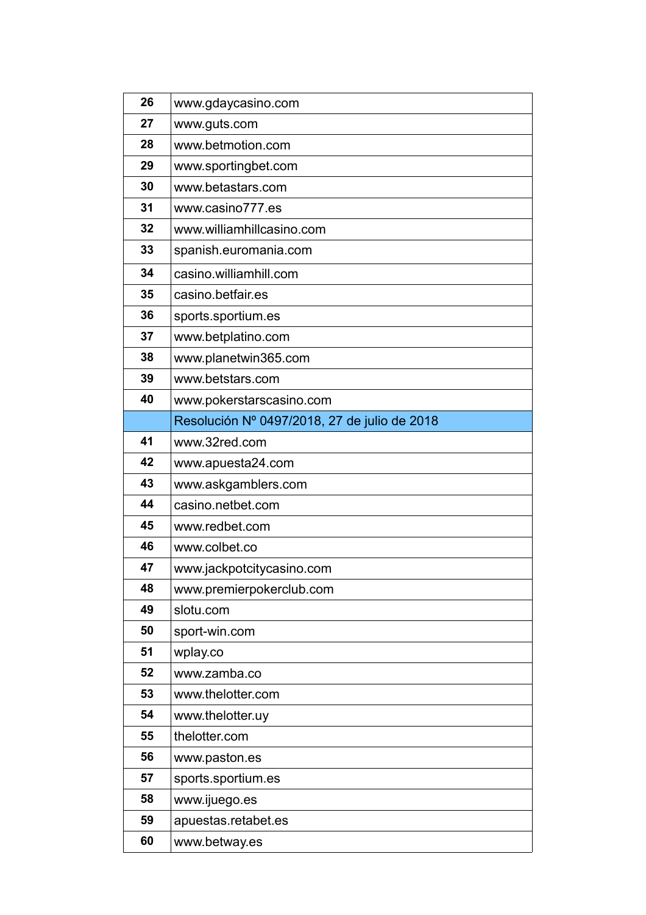| 26 | www.gdaycasino.com                           |
|----|----------------------------------------------|
| 27 | www.guts.com                                 |
| 28 | www.betmotion.com                            |
| 29 | www.sportingbet.com                          |
| 30 | www.betastars.com                            |
| 31 | www.casino777.es                             |
| 32 | www.williamhillcasino.com                    |
| 33 | spanish.euromania.com                        |
| 34 | casino.williamhill.com                       |
| 35 | casino.betfair.es                            |
| 36 | sports.sportium.es                           |
| 37 | www.betplatino.com                           |
| 38 | www.planetwin365.com                         |
| 39 | www.betstars.com                             |
| 40 | www.pokerstarscasino.com                     |
|    | Resolución Nº 0497/2018, 27 de julio de 2018 |
| 41 | www.32red.com                                |
| 42 | www.apuesta24.com                            |
| 43 | www.askgamblers.com                          |
| 44 | casino.netbet.com                            |
| 45 | www.redbet.com                               |
| 46 | www.colbet.co                                |
| 47 | www.jackpotcitycasino.com                    |
| 48 | www.premierpokerclub.com                     |
| 49 | slotu.com                                    |
| 50 | sport-win.com                                |
| 51 | wplay.co                                     |
| 52 | www.zamba.co                                 |
| 53 | www.thelotter.com                            |
| 54 | www.thelotter.uy                             |
| 55 | thelotter.com                                |
| 56 | www.paston.es                                |
| 57 | sports.sportium.es                           |
| 58 | www.ijuego.es                                |
| 59 |                                              |
|    | apuestas.retabet.es                          |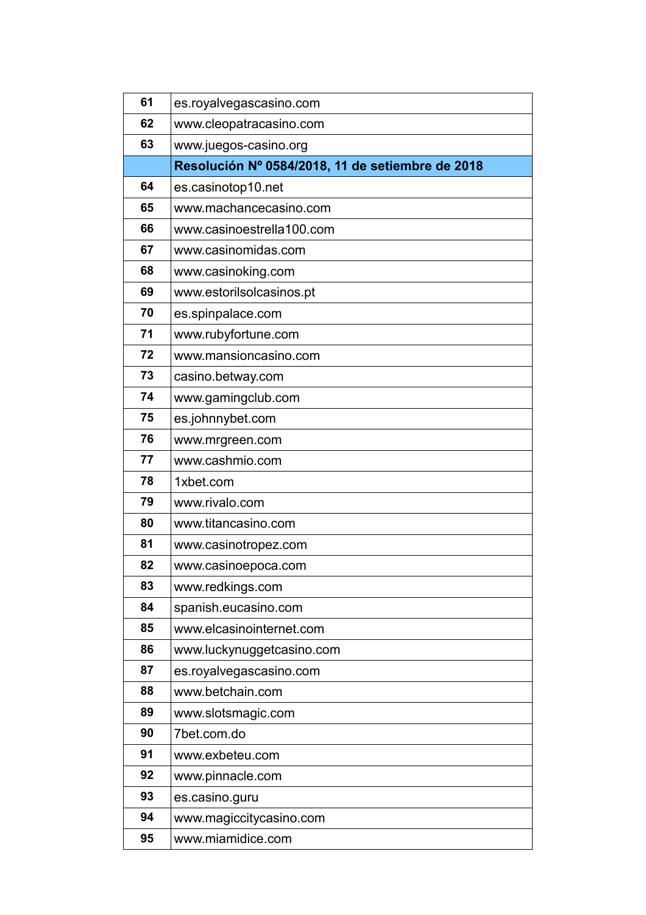| 61 | es.royalvegascasino.com                          |
|----|--------------------------------------------------|
| 62 | www.cleopatracasino.com                          |
| 63 | www.juegos-casino.org                            |
|    | Resolución Nº 0584/2018, 11 de setiembre de 2018 |
| 64 | es.casinotop10.net                               |
| 65 | www.machancecasino.com                           |
| 66 | www.casinoestrella100.com                        |
| 67 | www.casinomidas.com                              |
| 68 | www.casinoking.com                               |
| 69 | www.estorilsolcasinos.pt                         |
| 70 | es.spinpalace.com                                |
| 71 | www.rubyfortune.com                              |
| 72 | www.mansioncasino.com                            |
| 73 | casino.betway.com                                |
| 74 | www.gamingclub.com                               |
| 75 | es.johnnybet.com                                 |
| 76 | www.mrgreen.com                                  |
| 77 | www.cashmio.com                                  |
| 78 | 1xbet.com                                        |
| 79 | www.rivalo.com                                   |
| 80 | www.titancasino.com                              |
| 81 | www.casinotropez.com                             |
| 82 | www.casinoepoca.com                              |
| 83 | www.redkings.com                                 |
| 84 | spanish.eucasino.com                             |
| 85 | www.elcasinointernet.com                         |
| 86 | www.luckynuggetcasino.com                        |
| 87 | es.royalvegascasino.com                          |
| 88 | www.betchain.com                                 |
| 89 | www.slotsmagic.com                               |
| 90 | 7bet.com.do                                      |
| 91 | www.exbeteu.com                                  |
| 92 | www.pinnacle.com                                 |
| 93 | es.casino.guru                                   |
| 94 | www.magiccitycasino.com                          |
| 95 | www.miamidice.com                                |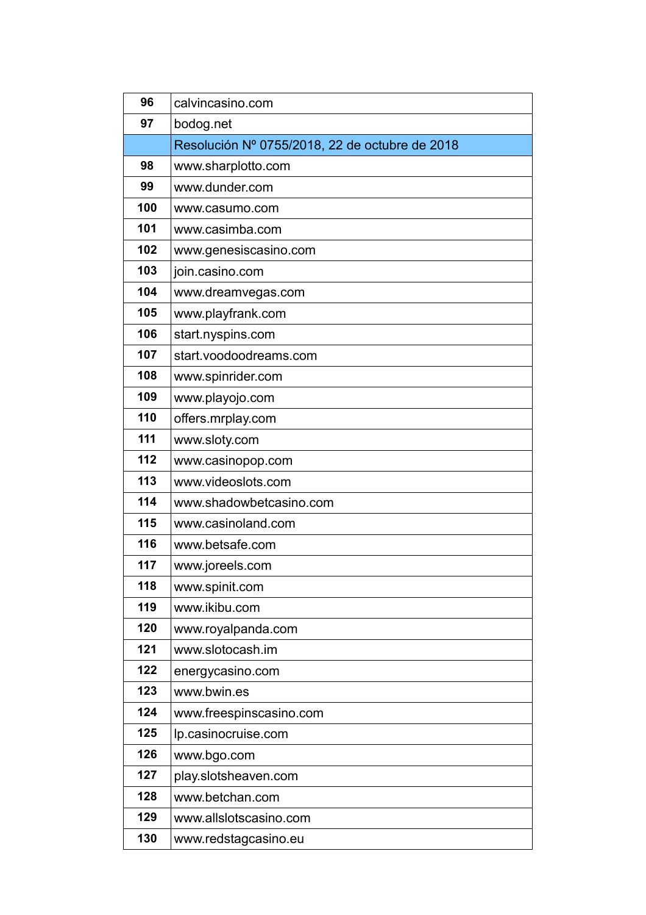| 96  | calvincasino.com                               |
|-----|------------------------------------------------|
| 97  | bodog.net                                      |
|     | Resolución Nº 0755/2018, 22 de octubre de 2018 |
| 98  | www.sharplotto.com                             |
| 99  | www.dunder.com                                 |
| 100 | www.casumo.com                                 |
| 101 | www.casimba.com                                |
| 102 | www.genesiscasino.com                          |
| 103 | join.casino.com                                |
| 104 | www.dreamvegas.com                             |
| 105 | www.playfrank.com                              |
| 106 | start.nyspins.com                              |
| 107 | start.voodoodreams.com                         |
| 108 | www.spinrider.com                              |
| 109 | www.playojo.com                                |
| 110 | offers.mrplay.com                              |
| 111 | www.sloty.com                                  |
| 112 | www.casinopop.com                              |
| 113 | www.videoslots.com                             |
| 114 | www.shadowbetcasino.com                        |
| 115 | www.casinoland.com                             |
| 116 | www.betsafe.com                                |
| 117 | www.joreels.com                                |
| 118 | www.spinit.com                                 |
| 119 | www.ikibu.com                                  |
| 120 | www.royalpanda.com                             |
| 121 | www.slotocash.im                               |
| 122 | energycasino.com                               |
| 123 | www.bwin.es                                    |
| 124 | www.freespinscasino.com                        |
| 125 | lp.casinocruise.com                            |
| 126 | www.bgo.com                                    |
| 127 | play.slotsheaven.com                           |
| 128 | www.betchan.com                                |
| 129 | www.allslotscasino.com                         |
| 130 | www.redstagcasino.eu                           |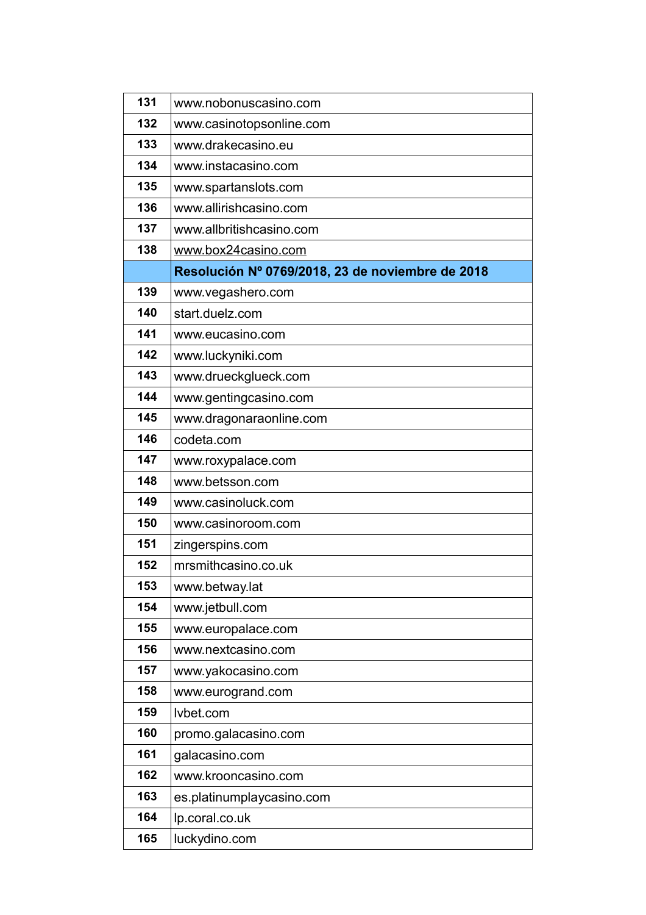| 131 | www.nobonuscasino.com                            |
|-----|--------------------------------------------------|
| 132 | www.casinotopsonline.com                         |
| 133 | www.drakecasino.eu                               |
| 134 | www.instacasino.com                              |
| 135 | www.spartanslots.com                             |
| 136 | www.allirishcasino.com                           |
| 137 | www.allbritishcasino.com                         |
| 138 | www.box24casino.com                              |
|     | Resolución Nº 0769/2018, 23 de noviembre de 2018 |
| 139 | www.vegashero.com                                |
| 140 | start.duelz.com                                  |
| 141 | www.eucasino.com                                 |
| 142 | www.luckyniki.com                                |
| 143 | www.drueckglueck.com                             |
| 144 | www.gentingcasino.com                            |
| 145 | www.dragonaraonline.com                          |
| 146 | codeta.com                                       |
| 147 | www.roxypalace.com                               |
| 148 | www.betsson.com                                  |
| 149 | www.casinoluck.com                               |
| 150 | www.casinoroom.com                               |
| 151 | zingerspins.com                                  |
| 152 | mrsmithcasino.co.uk                              |
| 153 | www.betway.lat                                   |
| 154 | www.jetbull.com                                  |
| 155 | www.europalace.com                               |
| 156 | www.nextcasino.com                               |
| 157 | www.yakocasino.com                               |
| 158 | www.eurogrand.com                                |
| 159 | lvbet.com                                        |
| 160 | promo.galacasino.com                             |
| 161 | galacasino.com                                   |
| 162 | www.krooncasino.com                              |
| 163 | es.platinumplaycasino.com                        |
| 164 | lp.coral.co.uk                                   |
| 165 | luckydino.com                                    |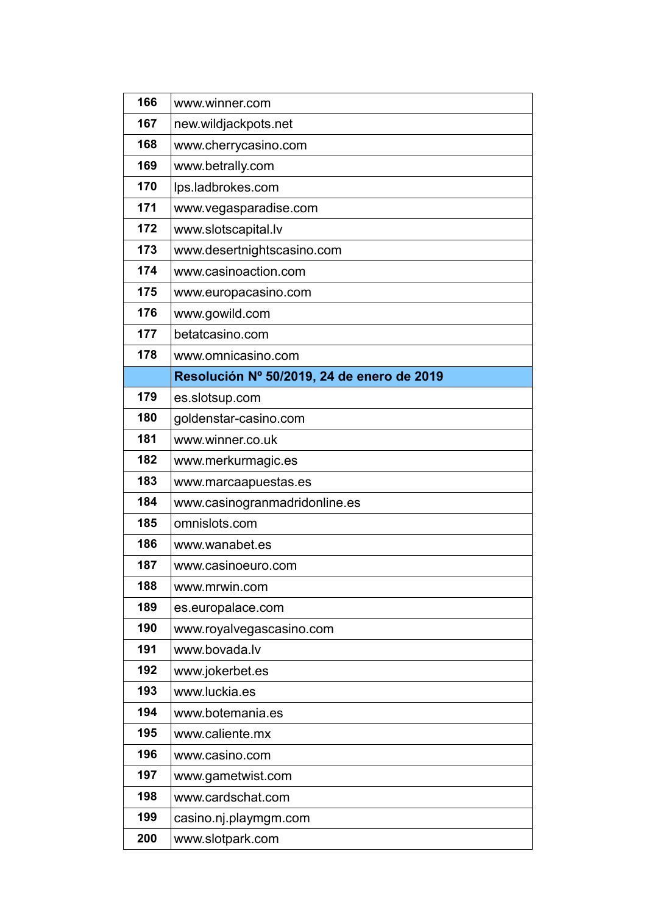| 166 | www.winner.com                             |
|-----|--------------------------------------------|
| 167 | new.wildjackpots.net                       |
| 168 | www.cherrycasino.com                       |
| 169 | www.betrally.com                           |
| 170 | lps.ladbrokes.com                          |
| 171 | www.vegasparadise.com                      |
| 172 | www.slotscapital.lv                        |
| 173 | www.desertnightscasino.com                 |
| 174 | www.casinoaction.com                       |
| 175 | www.europacasino.com                       |
| 176 | www.gowild.com                             |
| 177 | betatcasino.com                            |
| 178 | www.omnicasino.com                         |
|     | Resolución Nº 50/2019, 24 de enero de 2019 |
| 179 | es.slotsup.com                             |
| 180 | goldenstar-casino.com                      |
| 181 | www.winner.co.uk                           |
| 182 | www.merkurmagic.es                         |
| 183 | www.marcaapuestas.es                       |
| 184 | www.casinogranmadridonline.es              |
| 185 | omnislots.com                              |
| 186 | www.wanabet.es                             |
| 187 | www.casinoeuro.com                         |
| 188 | www.mrwin.com                              |
| 189 | es.europalace.com                          |
| 190 | www.royalvegascasino.com                   |
| 191 | www.bovada.lv                              |
| 192 | www.jokerbet.es                            |
| 193 | www.luckia.es                              |
| 194 | www.botemania.es                           |
| 195 | www.caliente.mx                            |
| 196 | www.casino.com                             |
| 197 | www.gametwist.com                          |
| 198 | www.cardschat.com                          |
| 199 | casino.nj.playmgm.com                      |
| 200 | www.slotpark.com                           |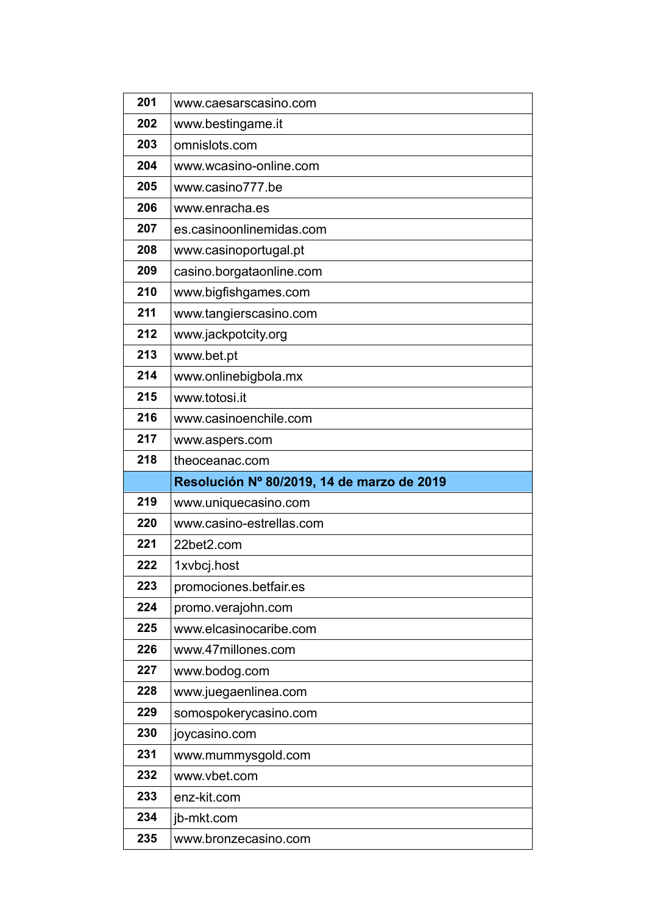| 201 | www.caesarscasino.com                      |
|-----|--------------------------------------------|
| 202 | www.bestingame.it                          |
| 203 | omnislots.com                              |
| 204 | www.wcasino-online.com                     |
| 205 | www.casino777.be                           |
| 206 | www.enracha.es                             |
| 207 | es.casinoonlinemidas.com                   |
| 208 | www.casinoportugal.pt                      |
| 209 | casino.borgataonline.com                   |
| 210 | www.bigfishgames.com                       |
| 211 | www.tangierscasino.com                     |
| 212 | www.jackpotcity.org                        |
| 213 | www.bet.pt                                 |
| 214 | www.onlinebigbola.mx                       |
| 215 | www.totosi.it                              |
| 216 | www.casinoenchile.com                      |
| 217 | www.aspers.com                             |
| 218 | theoceanac.com                             |
|     |                                            |
|     | Resolución Nº 80/2019, 14 de marzo de 2019 |
| 219 | www.uniquecasino.com                       |
| 220 | www.casino-estrellas.com                   |
| 221 | 22bet2.com                                 |
| 222 | 1xvbcj.host                                |
| 223 | promociones betfair es                     |
| 224 | promo.verajohn.com                         |
| 225 | www.elcasinocaribe.com                     |
| 226 | www.47millones.com                         |
| 227 | www.bodog.com                              |
| 228 | www.juegaenlinea.com                       |
| 229 | somospokerycasino.com                      |
| 230 | joycasino.com                              |
| 231 | www.mummysgold.com                         |
| 232 | www.vbet.com                               |
| 233 | enz-kit.com                                |
| 234 | jb-mkt.com                                 |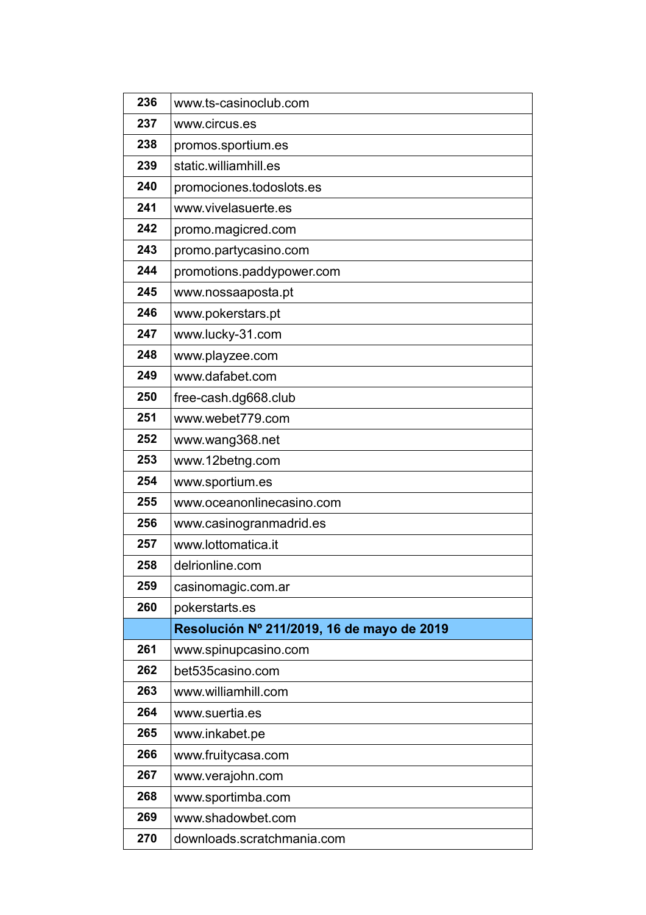| 236 | www.ts-casinoclub.com                      |
|-----|--------------------------------------------|
| 237 | www.circus.es                              |
| 238 | promos.sportium.es                         |
| 239 | static.williamhill.es                      |
| 240 | promociones.todoslots.es                   |
| 241 | www.vivelasuerte.es                        |
| 242 | promo.magicred.com                         |
| 243 | promo.partycasino.com                      |
| 244 | promotions.paddypower.com                  |
| 245 | www.nossaaposta.pt                         |
| 246 | www.pokerstars.pt                          |
| 247 | www.lucky-31.com                           |
| 248 | www.playzee.com                            |
| 249 | www.dafabet.com                            |
| 250 | free-cash.dg668.club                       |
| 251 | www.webet779.com                           |
| 252 | www.wang368.net                            |
| 253 | www.12betng.com                            |
| 254 | www.sportium.es                            |
| 255 | www.oceanonlinecasino.com                  |
| 256 | www.casinogranmadrid.es                    |
| 257 | www.lottomatica.it                         |
| 258 | delrionline.com                            |
| 259 | casinomagic.com.ar                         |
| 260 | pokerstarts.es                             |
|     | Resolución Nº 211/2019, 16 de mayo de 2019 |
| 261 | www.spinupcasino.com                       |
| 262 | bet535casino.com                           |
| 263 | www.williamhill.com                        |
| 264 | www.suertia.es                             |
| 265 | www.inkabet.pe                             |
| 266 | www.fruitycasa.com                         |
| 267 | www.verajohn.com                           |
| 268 | www.sportimba.com                          |
| 269 | www.shadowbet.com                          |
| 270 | downloads.scratchmania.com                 |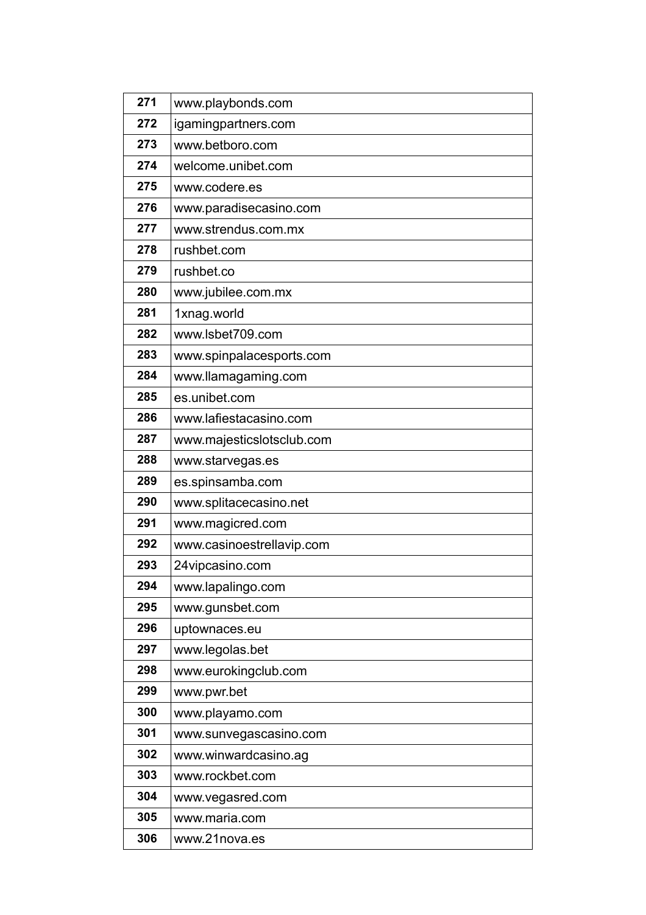| 271 | www.playbonds.com         |
|-----|---------------------------|
| 272 | igamingpartners.com       |
| 273 | www.betboro.com           |
| 274 | welcome.unibet.com        |
| 275 | www.codere.es             |
| 276 | www.paradisecasino.com    |
| 277 | www.strendus.com.mx       |
| 278 | rushbet.com               |
| 279 | rushbet.co                |
| 280 | www.jubilee.com.mx        |
| 281 | 1xnag.world               |
| 282 | www.lsbet709.com          |
| 283 | www.spinpalacesports.com  |
| 284 | www.llamagaming.com       |
| 285 | es.unibet.com             |
| 286 | www.lafiestacasino.com    |
| 287 | www.majesticslotsclub.com |
| 288 | www.starvegas.es          |
| 289 | es.spinsamba.com          |
| 290 | www.splitacecasino.net    |
| 291 | www.magicred.com          |
| 292 | www.casinoestrellavip.com |
| 293 | 24 vipcasino.com          |
| 294 | www.lapalingo.com         |
| 295 | www.gunsbet.com           |
| 296 | uptownaces.eu             |
| 297 | www.legolas.bet           |
| 298 | www.eurokingclub.com      |
| 299 | www.pwr.bet               |
| 300 | www.playamo.com           |
| 301 | www.sunvegascasino.com    |
| 302 | www.winwardcasino.ag      |
| 303 | www.rockbet.com           |
| 304 | www.vegasred.com          |
| 305 | www.maria.com             |
| 306 | www.21nova.es             |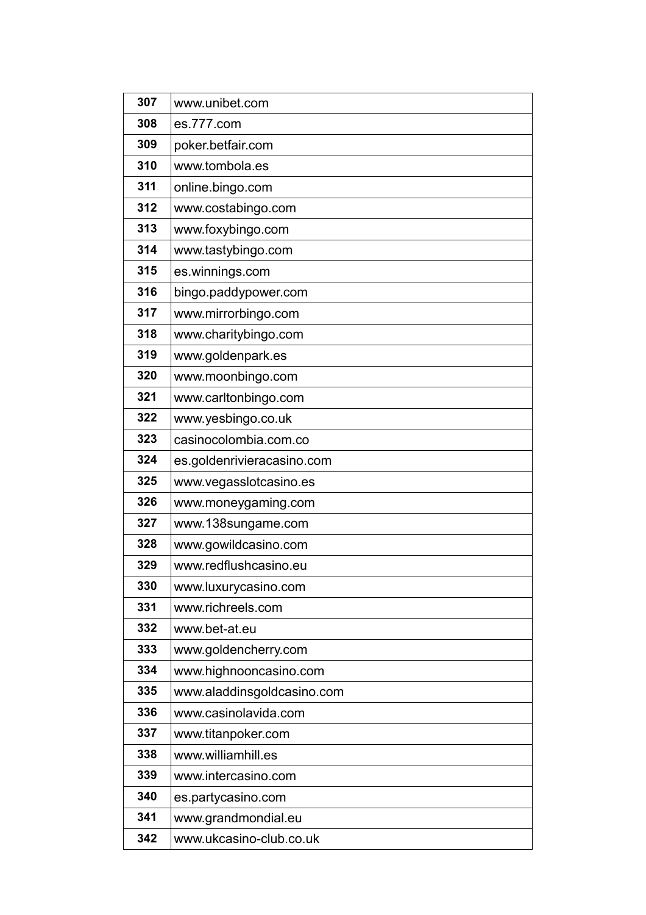| 307 | www.unibet.com             |
|-----|----------------------------|
| 308 | es.777.com                 |
| 309 | poker.betfair.com          |
| 310 | www.tombola.es             |
| 311 | online.bingo.com           |
| 312 | www.costabingo.com         |
| 313 | www.foxybingo.com          |
| 314 | www.tastybingo.com         |
| 315 | es.winnings.com            |
| 316 | bingo.paddypower.com       |
| 317 | www.mirrorbingo.com        |
| 318 | www.charitybingo.com       |
| 319 | www.goldenpark.es          |
| 320 | www.moonbingo.com          |
| 321 | www.carltonbingo.com       |
| 322 | www.yesbingo.co.uk         |
| 323 | casinocolombia.com.co      |
| 324 | es goldenrivieracasino com |
| 325 | www.vegasslotcasino.es     |
| 326 | www.moneygaming.com        |
| 327 | www.138sungame.com         |
| 328 | www.gowildcasino.com       |
| 329 | www.redflushcasino.eu      |
| 330 | www.luxurycasino.com       |
| 331 | www.richreels.com          |
| 332 | www.bet-at.eu              |
| 333 | www.goldencherry.com       |
| 334 | www.highnooncasino.com     |
| 335 | www.aladdinsgoldcasino.com |
| 336 | www.casinolavida.com       |
| 337 | www.titanpoker.com         |
| 338 | www.williamhill.es         |
| 339 | www.intercasino.com        |
| 340 | es.partycasino.com         |
| 341 | www.grandmondial.eu        |
| 342 | www.ukcasino-club.co.uk    |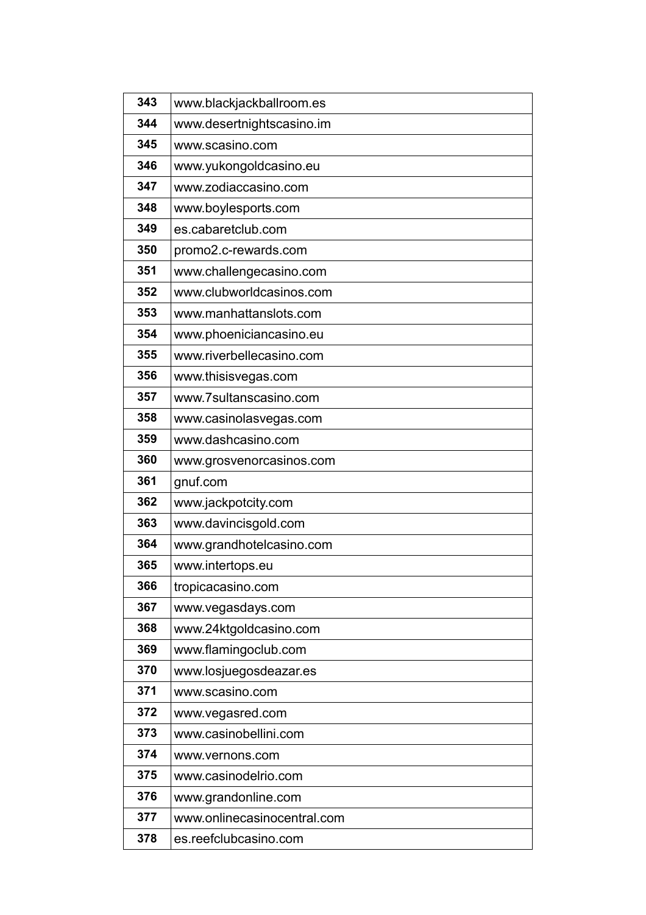| 343 | www.blackjackballroom.es    |
|-----|-----------------------------|
| 344 | www.desertnightscasino.im   |
| 345 | www.scasino.com             |
| 346 | www.yukongoldcasino.eu      |
| 347 | www.zodiaccasino.com        |
| 348 | www.boylesports.com         |
| 349 | es.cabaretclub.com          |
| 350 | promo2.c-rewards.com        |
| 351 | www.challengecasino.com     |
| 352 | www.clubworldcasinos.com    |
| 353 | www.manhattanslots.com      |
| 354 | www.phoeniciancasino.eu     |
| 355 | www.riverbellecasino.com    |
| 356 | www.thisisvegas.com         |
| 357 | www.7sultanscasino.com      |
| 358 | www.casinolasvegas.com      |
| 359 | www.dashcasino.com          |
| 360 | www.grosvenorcasinos.com    |
| 361 | gnuf.com                    |
| 362 | www.jackpotcity.com         |
| 363 | www.davincisgold.com        |
| 364 | www.grandhotelcasino.com    |
| 365 | www.intertops.eu            |
| 366 |                             |
|     | tropicacasino.com           |
| 367 | www.vegasdays.com           |
| 368 | www.24ktgoldcasino.com      |
| 369 | www.flamingoclub.com        |
| 370 | www.losjuegosdeazar.es      |
| 371 | www.scasino.com             |
| 372 | www.vegasred.com            |
| 373 | www.casinobellini.com       |
| 374 | www.vernons.com             |
| 375 | www.casinodelrio.com        |
| 376 | www.grandonline.com         |
| 377 | www.onlinecasinocentral.com |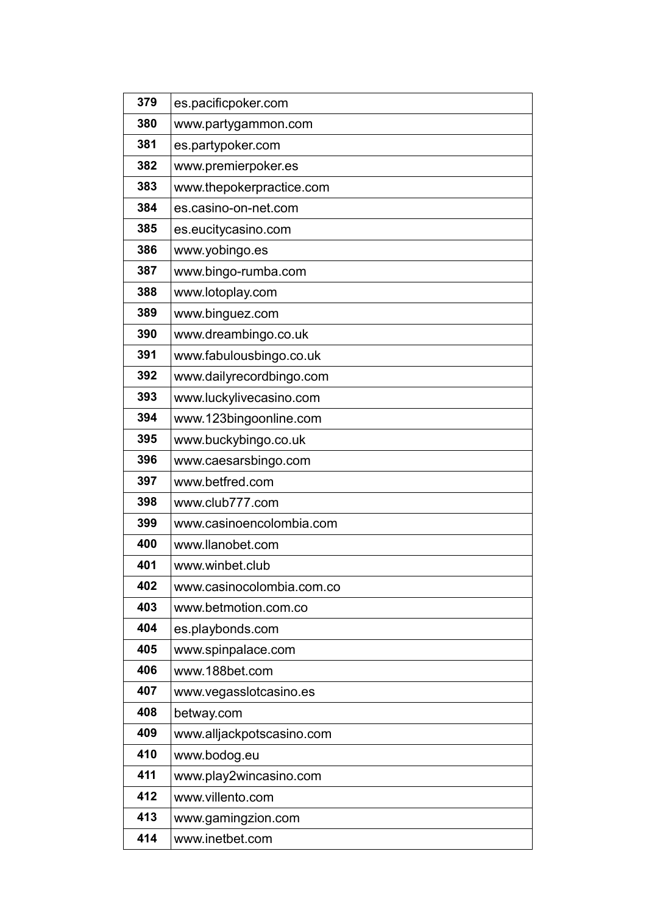| 379 | es.pacificpoker.com       |
|-----|---------------------------|
| 380 | www.partygammon.com       |
| 381 | es.partypoker.com         |
| 382 | www.premierpoker.es       |
| 383 | www.thepokerpractice.com  |
| 384 | es.casino-on-net.com      |
| 385 | es.eucitycasino.com       |
| 386 | www.yobingo.es            |
| 387 | www.bingo-rumba.com       |
| 388 | www.lotoplay.com          |
| 389 | www.binguez.com           |
| 390 | www.dreambingo.co.uk      |
| 391 | www.fabulousbingo.co.uk   |
| 392 | www.dailyrecordbingo.com  |
| 393 | www.luckylivecasino.com   |
| 394 | www.123bingoonline.com    |
| 395 | www.buckybingo.co.uk      |
| 396 | www.caesarsbingo.com      |
| 397 | www.betfred.com           |
| 398 | www.club777.com           |
| 399 | www.casinoencolombia.com  |
| 400 | www.llanobet.com          |
| 401 | www.winbet.club           |
| 402 | www.casinocolombia.com.co |
| 403 | www.betmotion.com.co      |
| 404 | es.playbonds.com          |
| 405 | www.spinpalace.com        |
| 406 | www.188bet.com            |
| 407 | www.vegasslotcasino.es    |
| 408 | betway.com                |
| 409 | www.alljackpotscasino.com |
| 410 | www.bodog.eu              |
| 411 | www.play2wincasino.com    |
| 412 | www.villento.com          |
| 413 | www.gamingzion.com        |
| 414 | www.inetbet.com           |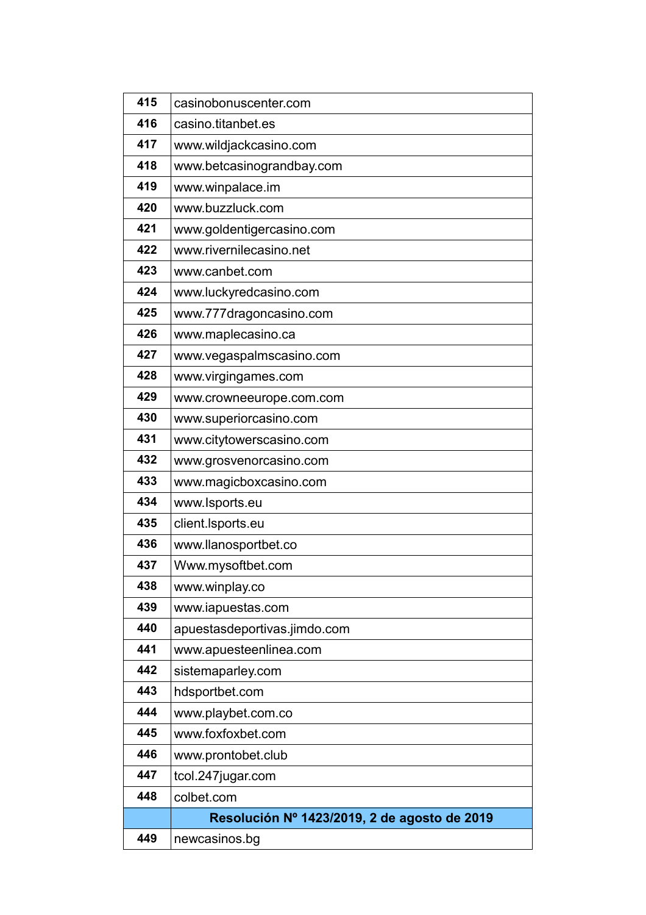| 415 | casinobonuscenter.com                        |
|-----|----------------------------------------------|
| 416 | casino.titanbet.es                           |
| 417 | www.wildjackcasino.com                       |
| 418 | www.betcasinograndbay.com                    |
| 419 | www.winpalace.im                             |
| 420 | www.buzzluck.com                             |
| 421 | www.goldentigercasino.com                    |
| 422 | www.rivernilecasino.net                      |
| 423 | www.canbet.com                               |
| 424 | www.luckyredcasino.com                       |
| 425 | www.777dragoncasino.com                      |
| 426 | www.maplecasino.ca                           |
| 427 | www.vegaspalmscasino.com                     |
| 428 | www.virgingames.com                          |
| 429 | www.crowneeurope.com.com                     |
| 430 | www.superiorcasino.com                       |
| 431 | www.citytowerscasino.com                     |
| 432 | www.grosvenorcasino.com                      |
| 433 | www.magicboxcasino.com                       |
| 434 | www.lsports.eu                               |
| 435 | client.Isports.eu                            |
| 436 | www.llanosportbet.co                         |
| 437 | Www.mysoftbet.com                            |
| 438 | www.winplay.co                               |
| 439 | www.iapuestas.com                            |
| 440 | apuestasdeportivas.jimdo.com                 |
| 441 | www.apuesteenlinea.com                       |
| 442 | sistemaparley.com                            |
| 443 | hdsportbet.com                               |
| 444 | www.playbet.com.co                           |
| 445 | www.foxfoxbet.com                            |
| 446 | www.prontobet.club                           |
| 447 | tcol.247jugar.com                            |
| 448 | colbet.com                                   |
|     | Resolución Nº 1423/2019, 2 de agosto de 2019 |
| 449 | newcasinos.bg                                |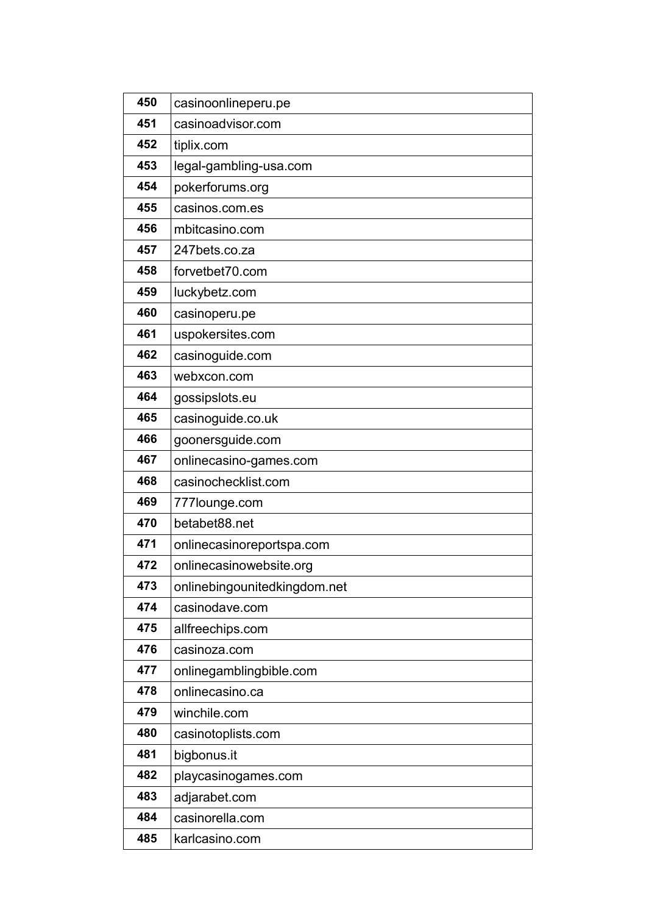| 450 | casinoonlineperu.pe          |
|-----|------------------------------|
| 451 | casinoadvisor.com            |
| 452 | tiplix.com                   |
| 453 | legal-gambling-usa.com       |
| 454 | pokerforums.org              |
| 455 | casinos.com.es               |
| 456 | mbitcasino.com               |
| 457 | 247bets.co.za                |
| 458 | forvetbet70.com              |
| 459 | luckybetz.com                |
| 460 | casinoperu.pe                |
| 461 | uspokersites.com             |
| 462 | casinoguide.com              |
| 463 | webxcon.com                  |
| 464 | gossipslots.eu               |
| 465 | casinoguide.co.uk            |
| 466 | goonersguide.com             |
| 467 | onlinecasino-games.com       |
| 468 | casinochecklist.com          |
| 469 | 777lounge.com                |
| 470 | betabet88.net                |
| 471 | onlinecasinoreportspa.com    |
| 472 | onlinecasinowebsite.org      |
| 473 | onlinebingounitedkingdom.net |
| 474 | casinodave.com               |
| 475 | allfreechips.com             |
| 476 | casinoza.com                 |
| 477 | onlinegamblingbible.com      |
| 478 | onlinecasino.ca              |
| 479 | winchile.com                 |
| 480 | casinotoplists.com           |
| 481 | bigbonus.it                  |
| 482 | playcasinogames.com          |
| 483 | adjarabet.com                |
| 484 | casinorella.com              |
| 485 | karlcasino.com               |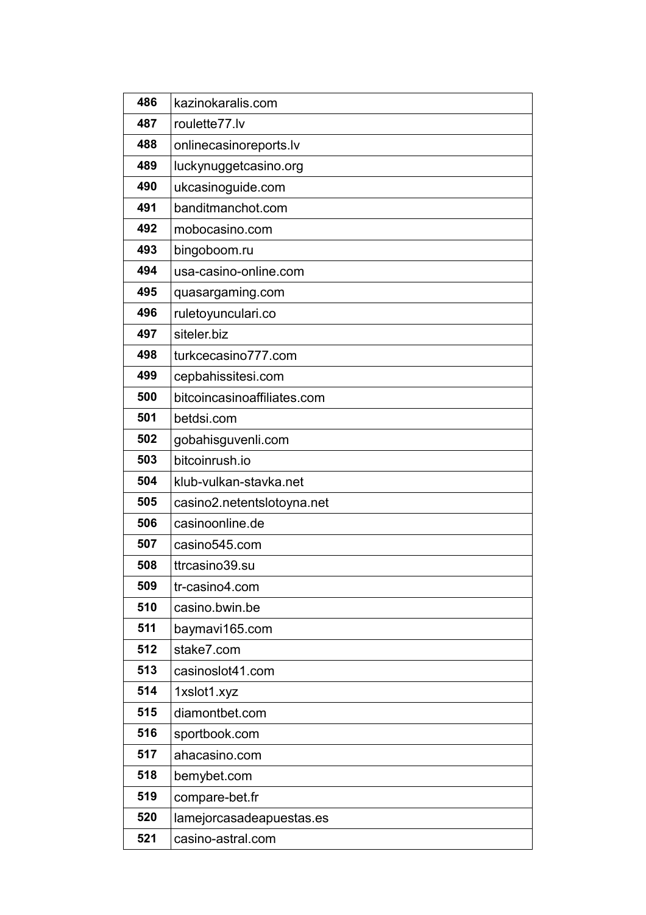| 486 | kazinokaralis.com           |
|-----|-----------------------------|
| 487 | roulette77.lv               |
| 488 | onlinecasinoreports.lv      |
| 489 | luckynuggetcasino.org       |
| 490 | ukcasinoguide.com           |
| 491 | banditmanchot.com           |
| 492 | mobocasino.com              |
| 493 | bingoboom.ru                |
| 494 | usa-casino-online.com       |
| 495 | quasargaming.com            |
| 496 | ruletoyunculari.co          |
| 497 | siteler.biz                 |
| 498 | turkcecasino777.com         |
| 499 | cepbahissitesi.com          |
| 500 | bitcoincasinoaffiliates.com |
| 501 | betdsi.com                  |
| 502 | gobahisguvenli.com          |
| 503 | bitcoinrush.io              |
| 504 | klub-vulkan-stavka.net      |
| 505 | casino2.netentslotoyna.net  |
| 506 | casinoonline.de             |
| 507 | casino545.com               |
| 508 | ttrcasino39.su              |
| 509 | tr-casino4.com              |
| 510 | casino.bwin.be              |
| 511 | baymavi165.com              |
| 512 | stake7.com                  |
| 513 | casinoslot41.com            |
| 514 | 1xslot1.xyz                 |
| 515 | diamontbet.com              |
| 516 | sportbook.com               |
| 517 | ahacasino.com               |
| 518 | bemybet.com                 |
| 519 | compare-bet.fr              |
| 520 | lamejorcasadeapuestas.es    |
| 521 |                             |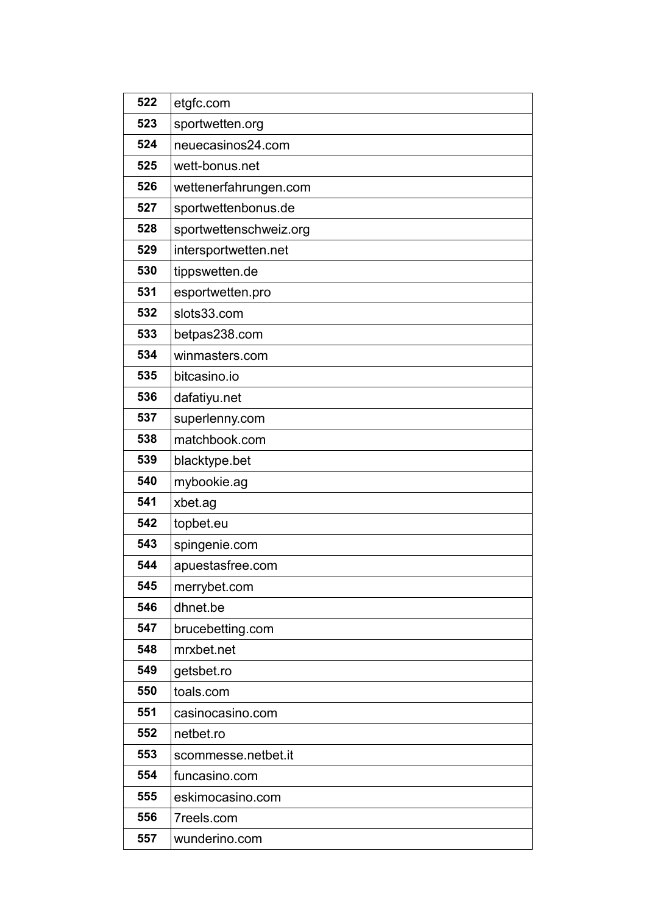| 522 | etgfc.com              |
|-----|------------------------|
| 523 | sportwetten.org        |
| 524 | neuecasinos24.com      |
| 525 | wett-bonus.net         |
| 526 | wettenerfahrungen.com  |
| 527 | sportwettenbonus.de    |
| 528 | sportwettenschweiz.org |
| 529 | intersportwetten.net   |
| 530 | tippswetten.de         |
| 531 | esportwetten.pro       |
| 532 | slots33.com            |
| 533 | betpas238.com          |
| 534 | winmasters.com         |
| 535 | bitcasino.io           |
| 536 | dafatiyu.net           |
| 537 | superlenny.com         |
| 538 | matchbook.com          |
| 539 | blacktype.bet          |
| 540 | mybookie.ag            |
| 541 | xbet.ag                |
| 542 | topbet.eu              |
| 543 | spingenie.com          |
| 544 | apuestasfree.com       |
| 545 | merrybet.com           |
| 546 | dhnet.be               |
| 547 | brucebetting.com       |
| 548 | mrxbet.net             |
| 549 | getsbet.ro             |
| 550 | toals.com              |
| 551 | casinocasino.com       |
| 552 | netbet.ro              |
| 553 | scommesse.netbet.it    |
| 554 | funcasino.com          |
| 555 | eskimocasino.com       |
| 556 | 7reels.com             |
| 557 | wunderino.com          |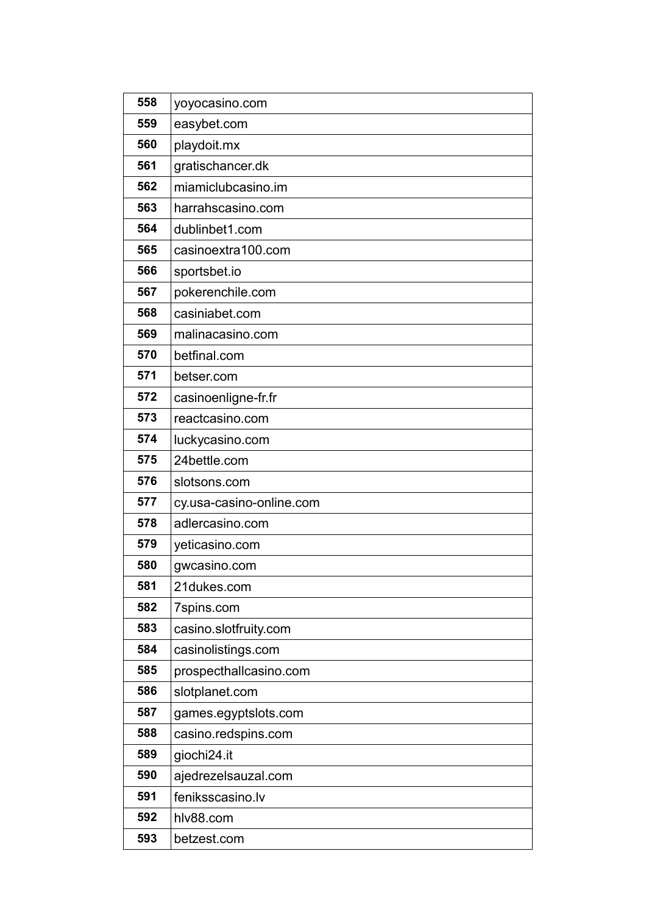| 558 | yoyocasino.com           |
|-----|--------------------------|
| 559 | easybet.com              |
| 560 | playdoit.mx              |
| 561 | gratischancer.dk         |
| 562 | miamiclubcasino.im       |
| 563 | harrahscasino.com        |
| 564 | dublinbet1.com           |
| 565 | casinoextra100.com       |
| 566 | sportsbet.io             |
| 567 | pokerenchile.com         |
| 568 | casiniabet.com           |
| 569 | malinacasino.com         |
| 570 | betfinal.com             |
| 571 | betser.com               |
| 572 | casinoenligne-fr.fr      |
| 573 | reactcasino.com          |
| 574 | luckycasino.com          |
| 575 | 24bettle.com             |
| 576 | slotsons.com             |
| 577 | cy.usa-casino-online.com |
| 578 | adlercasino.com          |
| 579 | yeticasino.com           |
| 580 | gwcasino.com             |
| 581 | 21dukes.com              |
| 582 | 7spins.com               |
| 583 | casino.slotfruity.com    |
| 584 | casinolistings.com       |
| 585 | prospecthallcasino.com   |
| 586 | slotplanet.com           |
| 587 | games.egyptslots.com     |
| 588 | casino.redspins.com      |
| 589 | giochi24.it              |
| 590 | ajedrezelsauzal.com      |
| 591 | feniksscasino.lv         |
| 592 | hlv88.com                |
| 593 | betzest.com              |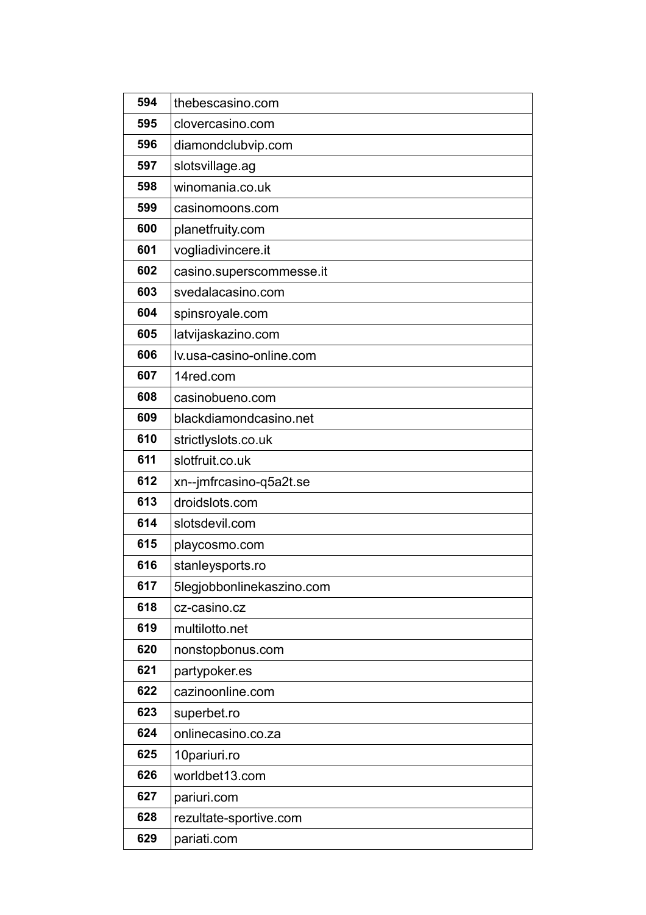| 594 | thebescasino.com          |
|-----|---------------------------|
| 595 | clovercasino.com          |
| 596 | diamondclubvip.com        |
| 597 | slotsvillage.ag           |
| 598 | winomania.co.uk           |
| 599 | casinomoons.com           |
| 600 | planetfruity.com          |
| 601 | vogliadivincere.it        |
| 602 | casino.superscommesse.it  |
| 603 | svedalacasino.com         |
| 604 | spinsroyale.com           |
| 605 | latvijaskazino.com        |
| 606 | lv.usa-casino-online.com  |
| 607 | 14red.com                 |
| 608 | casinobueno.com           |
| 609 | blackdiamondcasino.net    |
| 610 | strictlyslots.co.uk       |
| 611 | slotfruit.co.uk           |
| 612 | xn--jmfrcasino-q5a2t.se   |
| 613 | droidslots.com            |
| 614 | slotsdevil.com            |
| 615 | playcosmo.com             |
| 616 | stanleysports.ro          |
| 617 | 5legjobbonlinekaszino.com |
| 618 | cz-casino.cz              |
| 619 | multilotto.net            |
| 620 | nonstopbonus.com          |
| 621 | partypoker.es             |
| 622 | cazinoonline.com          |
| 623 | superbet.ro               |
| 624 | onlinecasino.co.za        |
| 625 | 10pariuri.ro              |
| 626 | worldbet13.com            |
| 627 | pariuri.com               |
| 628 | rezultate-sportive.com    |
| 629 | pariati.com               |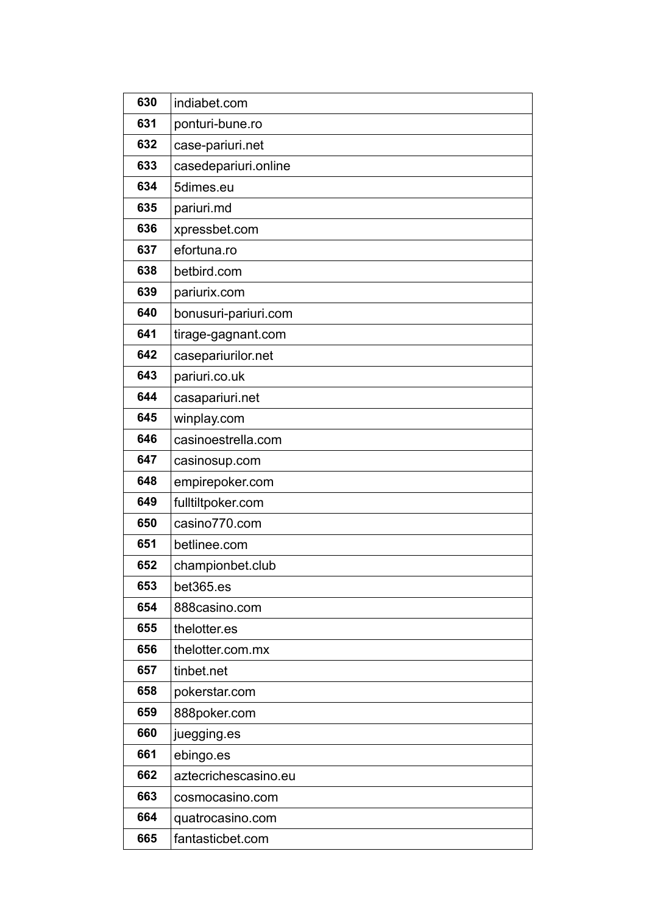| 630 | indiabet.com         |
|-----|----------------------|
| 631 | ponturi-bune.ro      |
| 632 | case-pariuri.net     |
| 633 | casedepariuri.online |
| 634 | 5dimes.eu            |
| 635 | pariuri.md           |
| 636 | xpressbet.com        |
| 637 | efortuna.ro          |
| 638 | betbird.com          |
| 639 | pariurix.com         |
| 640 | bonusuri-pariuri.com |
| 641 | tirage-gagnant.com   |
| 642 | casepariurilor.net   |
| 643 | pariuri.co.uk        |
| 644 | casapariuri.net      |
| 645 | winplay.com          |
| 646 | casinoestrella.com   |
| 647 | casinosup.com        |
| 648 | empirepoker.com      |
| 649 | fulltiltpoker.com    |
| 650 | casino770.com        |
| 651 | betlinee.com         |
| 652 | championbet.club     |
| 653 | bet365.es            |
| 654 | 888casino.com        |
| 655 | thelotter.es         |
| 656 | thelotter.com.mx     |
| 657 | tinbet.net           |
| 658 | pokerstar.com        |
| 659 | 888poker.com         |
| 660 | juegging es          |
| 661 | ebingo.es            |
| 662 | aztecrichescasino.eu |
| 663 | cosmocasino.com      |
| 664 | quatrocasino.com     |
| 665 | fantasticbet.com     |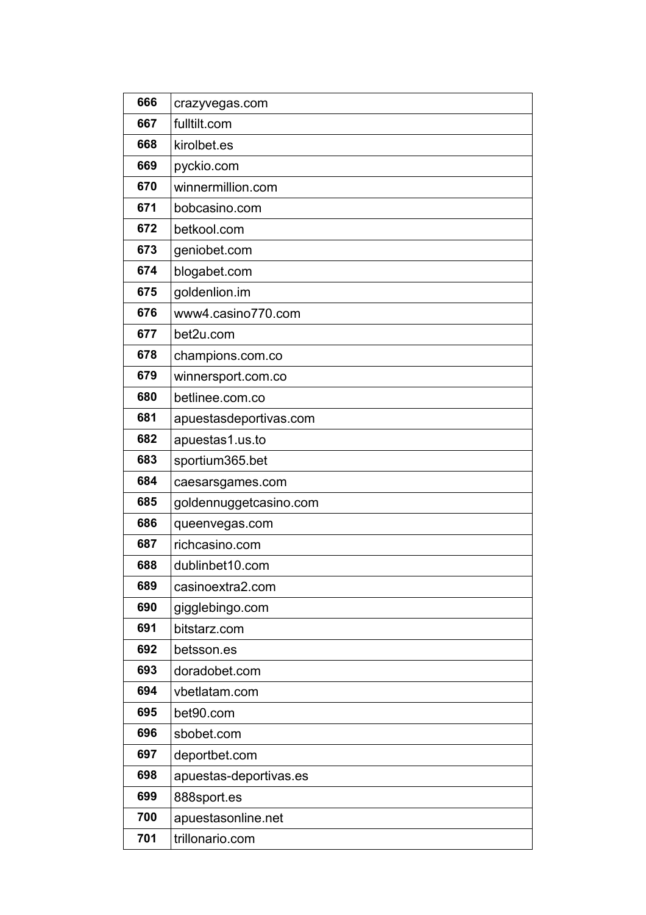| 666 | crazyvegas.com         |
|-----|------------------------|
| 667 | fulltilt.com           |
| 668 | kirolbet.es            |
| 669 | pyckio.com             |
| 670 | winnermillion.com      |
| 671 | bobcasino.com          |
| 672 | betkool.com            |
| 673 | geniobet.com           |
| 674 | blogabet.com           |
| 675 | goldenlion.im          |
| 676 | www4.casino770.com     |
| 677 | bet2u.com              |
| 678 | champions.com.co       |
| 679 | winnersport.com.co     |
| 680 | betlinee.com.co        |
| 681 | apuestasdeportivas.com |
| 682 | apuestas1.us.to        |
| 683 | sportium365.bet        |
| 684 | caesarsgames.com       |
| 685 | goldennuggetcasino.com |
| 686 | queenvegas.com         |
| 687 | richcasino.com         |
| 688 | dublinbet10.com        |
| 689 | casinoextra2.com       |
| 690 | gigglebingo.com        |
| 691 | bitstarz.com           |
| 692 | betsson.es             |
| 693 | doradobet.com          |
| 694 | vbetlatam.com          |
| 695 | bet90.com              |
| 696 | sbobet.com             |
| 697 | deportbet.com          |
| 698 | apuestas-deportivas.es |
| 699 | 888sport.es            |
| 700 | apuestasonline.net     |
| 701 | trillonario.com        |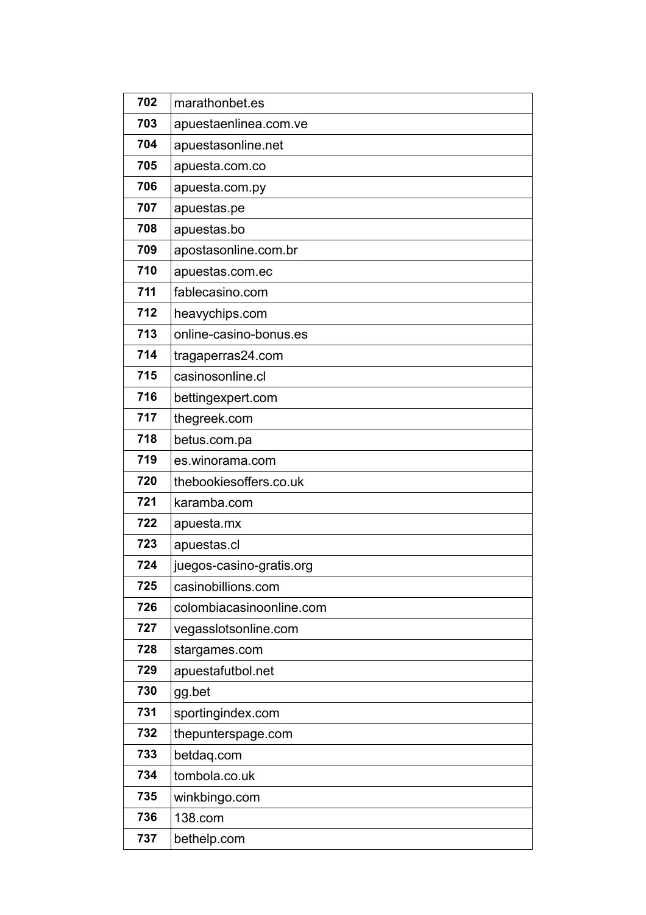| 702 | marathonbet.es           |
|-----|--------------------------|
| 703 | apuestaenlinea.com.ve    |
| 704 | apuestasonline.net       |
| 705 | apuesta.com.co           |
| 706 | apuesta.com.py           |
| 707 | apuestas.pe              |
| 708 | apuestas.bo              |
| 709 | apostasonline.com.br     |
| 710 | apuestas.com.ec          |
| 711 | fablecasino.com          |
| 712 | heavychips.com           |
| 713 | online-casino-bonus.es   |
| 714 | tragaperras24.com        |
| 715 | casinosonline.cl         |
| 716 | bettingexpert.com        |
| 717 | thegreek.com             |
| 718 | betus.com.pa             |
| 719 | es.winorama.com          |
| 720 | thebookiesoffers.co.uk   |
| 721 | karamba.com              |
| 722 | apuesta.mx               |
| 723 | apuestas.cl              |
| 724 | juegos-casino-gratis.org |
| 725 | casinobillions.com       |
| 726 | colombiacasinoonline.com |
| 727 | vegasslotsonline.com     |
| 728 | stargames.com            |
| 729 | apuestafutbol.net        |
| 730 | gg.bet                   |
| 731 | sportingindex.com        |
| 732 | thepunterspage.com       |
| 733 | betdaq.com               |
| 734 | tombola.co.uk            |
| 735 | winkbingo.com            |
| 736 | 138.com                  |
| 737 | bethelp.com              |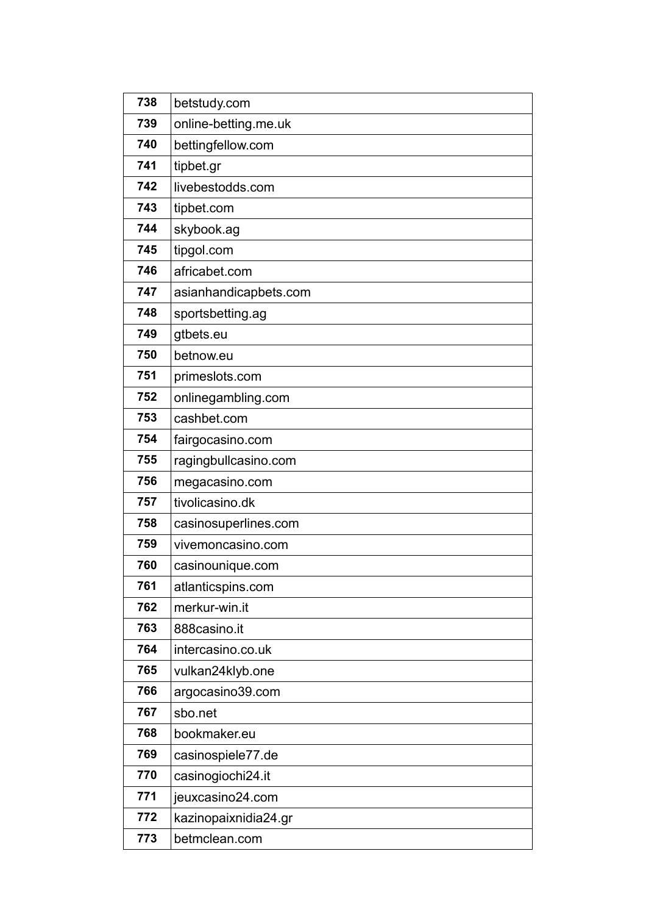| 738 | betstudy.com          |
|-----|-----------------------|
| 739 | online-betting.me.uk  |
| 740 | bettingfellow.com     |
| 741 | tipbet.gr             |
| 742 | livebestodds.com      |
| 743 | tipbet.com            |
| 744 | skybook.ag            |
| 745 | tipgol.com            |
| 746 | africabet.com         |
| 747 | asianhandicapbets.com |
| 748 | sportsbetting.ag      |
| 749 | gtbets.eu             |
| 750 | betnow.eu             |
| 751 | primeslots.com        |
| 752 | onlinegambling.com    |
| 753 | cashbet.com           |
| 754 | fairgocasino.com      |
| 755 | ragingbullcasino.com  |
| 756 | megacasino.com        |
| 757 | tivolicasino.dk       |
| 758 | casinosuperlines.com  |
| 759 | vivemoncasino.com     |
| 760 | casinounique.com      |
| 761 | atlanticspins.com     |
| 762 | merkur-win.it         |
| 763 | 888casino.it          |
| 764 | intercasino.co.uk     |
| 765 | vulkan24klyb.one      |
| 766 | argocasino39.com      |
| 767 | sbo.net               |
| 768 | bookmaker.eu          |
| 769 | casinospiele77.de     |
| 770 | casinogiochi24.it     |
| 771 | jeuxcasino24.com      |
| 772 | kazinopaixnidia24.gr  |
| 773 | betmclean.com         |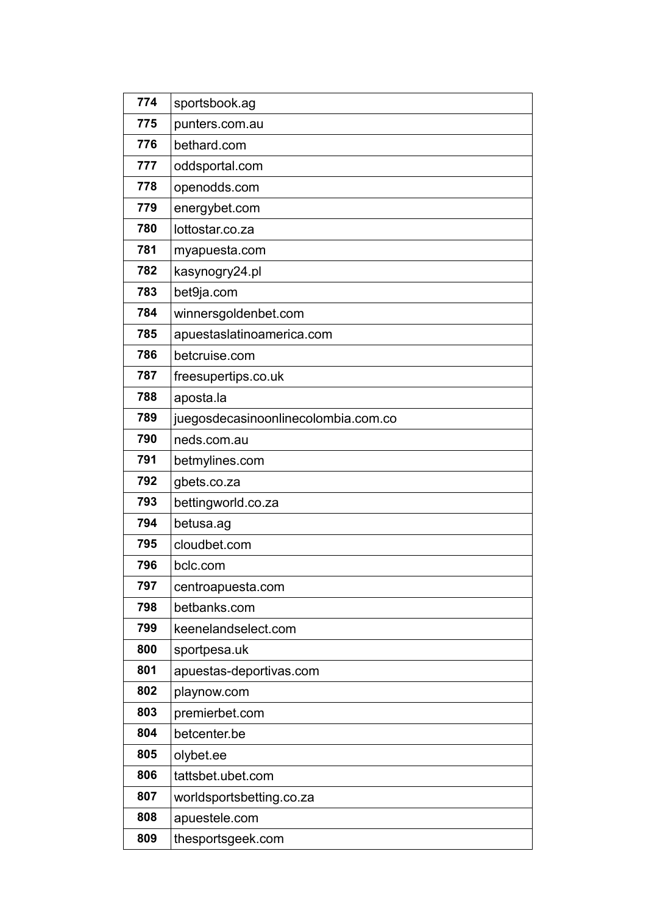| 774 | sportsbook.ag                       |
|-----|-------------------------------------|
| 775 | punters.com.au                      |
| 776 | bethard.com                         |
| 777 | oddsportal.com                      |
| 778 | openodds.com                        |
| 779 | energybet.com                       |
| 780 | lottostar.co.za                     |
| 781 | myapuesta.com                       |
| 782 | kasynogry24.pl                      |
| 783 | bet9ja.com                          |
| 784 | winnersgoldenbet.com                |
| 785 | apuestaslatinoamerica.com           |
| 786 | betcruise.com                       |
| 787 | freesupertips.co.uk                 |
| 788 | aposta.la                           |
| 789 | juegosdecasinoonlinecolombia.com.co |
| 790 | neds.com.au                         |
| 791 | betmylines.com                      |
| 792 | gbets.co.za                         |
| 793 | bettingworld.co.za                  |
| 794 | betusa.ag                           |
| 795 | cloudbet.com                        |
| 796 | bclc.com                            |
| 797 | centroapuesta.com                   |
| 798 | betbanks.com                        |
| 799 | keenelandselect.com                 |
| 800 | sportpesa.uk                        |
| 801 | apuestas-deportivas.com             |
| 802 | playnow.com                         |
| 803 | premierbet.com                      |
| 804 | betcenter.be                        |
| 805 | olybet.ee                           |
| 806 | tattsbet.ubet.com                   |
| 807 | worldsportsbetting.co.za            |
| 808 | apuestele.com                       |
| 809 | thesportsgeek.com                   |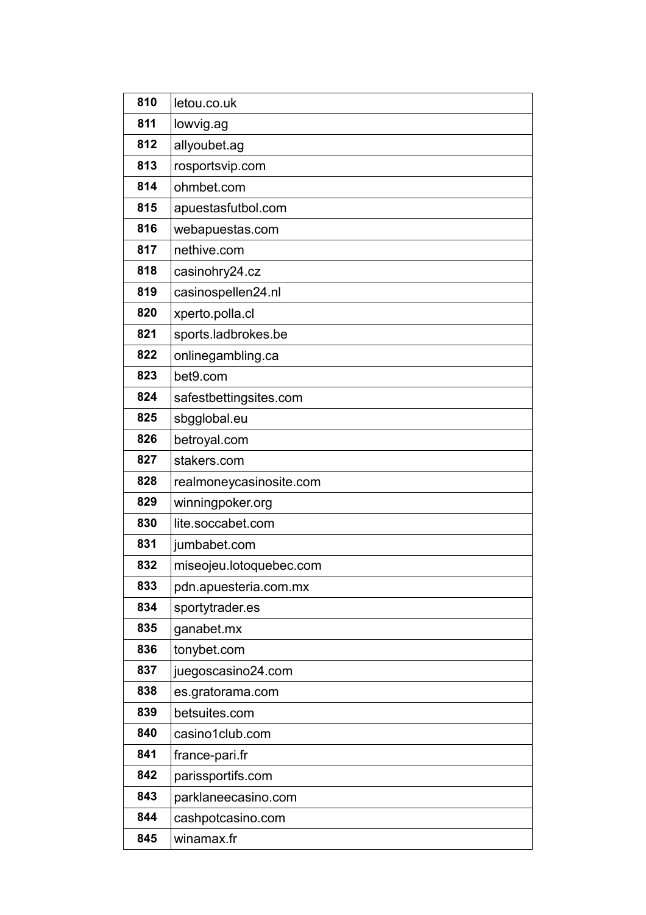| 810 | letou.co.uk             |
|-----|-------------------------|
| 811 | lowvig.ag               |
| 812 | allyoubet.ag            |
| 813 | rosportsvip.com         |
| 814 | ohmbet.com              |
| 815 | apuestasfutbol.com      |
| 816 | webapuestas.com         |
| 817 | nethive.com             |
| 818 | casinohry24.cz          |
| 819 | casinospellen24.nl      |
| 820 | xperto.polla.cl         |
| 821 | sports.ladbrokes.be     |
| 822 | onlinegambling.ca       |
| 823 | bet9.com                |
| 824 | safestbettingsites.com  |
| 825 | sbgglobal.eu            |
| 826 | betroyal.com            |
| 827 | stakers.com             |
| 828 | realmoneycasinosite.com |
| 829 | winningpoker.org        |
| 830 | lite.soccabet.com       |
| 831 | jumbabet.com            |
| 832 | miseojeu.lotoquebec.com |
| 833 | pdn.apuesteria.com.mx   |
| 834 | sportytrader.es         |
| 835 | ganabet.mx              |
| 836 | tonybet.com             |
| 837 | juegoscasino24.com      |
| 838 | es.gratorama.com        |
| 839 | betsuites.com           |
| 840 | casino1club.com         |
| 841 | france-pari.fr          |
| 842 | parissportifs.com       |
| 843 | parklaneecasino.com     |
| 844 | cashpotcasino.com       |
| 845 | winamax.fr              |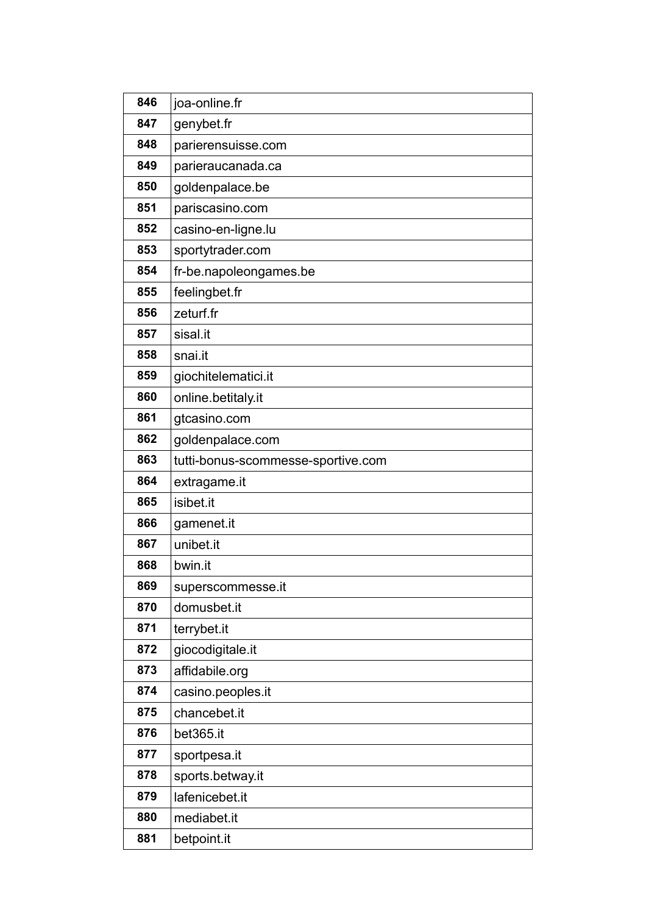| 846 | joa-online.fr                      |
|-----|------------------------------------|
| 847 | genybet.fr                         |
| 848 | parierensuisse.com                 |
| 849 | parieraucanada.ca                  |
| 850 | goldenpalace.be                    |
| 851 | pariscasino.com                    |
| 852 | casino-en-ligne.lu                 |
| 853 | sportytrader.com                   |
| 854 | fr-be.napoleongames.be             |
| 855 | feelingbet.fr                      |
| 856 | zeturf.fr                          |
| 857 | sisal.it                           |
| 858 | snai.it                            |
| 859 | giochitelematici.it                |
| 860 | online.betitaly.it                 |
| 861 | gtcasino.com                       |
| 862 | goldenpalace.com                   |
| 863 | tutti-bonus-scommesse-sportive.com |
| 864 | extragame.it                       |
| 865 | isibet.it                          |
| 866 | gamenet.it                         |
| 867 | unibet.it                          |
| 868 | bwin.it                            |
| 869 | superscommesse.it                  |
| 870 | domusbet.it                        |
| 871 | terrybet.it                        |
| 872 | giocodigitale.it                   |
| 873 | affidabile.org                     |
| 874 | casino.peoples.it                  |
| 875 | chancebet.it                       |
| 876 | bet365.it                          |
| 877 | sportpesa.it                       |
| 878 | sports.betway.it                   |
| 879 | lafenicebet.it                     |
| 880 | mediabet.it                        |
| 881 | betpoint.it                        |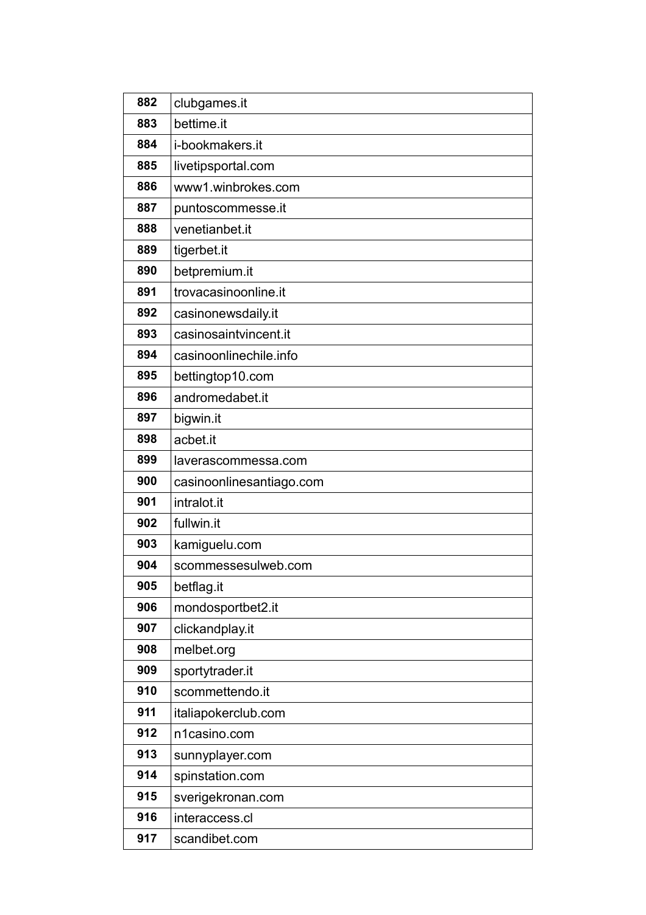| 882 | clubgames.it             |
|-----|--------------------------|
| 883 | bettime.it               |
| 884 | i-bookmakers.it          |
| 885 | livetipsportal.com       |
| 886 | www1.winbrokes.com       |
| 887 | puntoscommesse.it        |
| 888 | venetianbet.it           |
| 889 | tigerbet.it              |
| 890 | betpremium.it            |
| 891 | trovacasinoonline.it     |
| 892 | casinonewsdaily.it       |
| 893 | casinosaintvincent.it    |
| 894 | casinoonlinechile.info   |
| 895 | bettingtop10.com         |
| 896 | andromedabet.it          |
| 897 | bigwin.it                |
| 898 | acbet.it                 |
| 899 | laverascommessa.com      |
| 900 | casinoonlinesantiago.com |
| 901 | intralot.it              |
| 902 | fullwin.it               |
| 903 | kamiguelu.com            |
| 904 | scommessesulweb.com      |
| 905 | betflag.it               |
| 906 | mondosportbet2.it        |
| 907 | clickandplay.it          |
| 908 | melbet.org               |
| 909 | sportytrader.it          |
| 910 | scommettendo.it          |
| 911 | italiapokerclub.com      |
| 912 | n1casino.com             |
| 913 | sunnyplayer.com          |
| 914 | spinstation.com          |
| 915 | sverigekronan.com        |
| 916 | interaccess.cl           |
| 917 | scandibet.com            |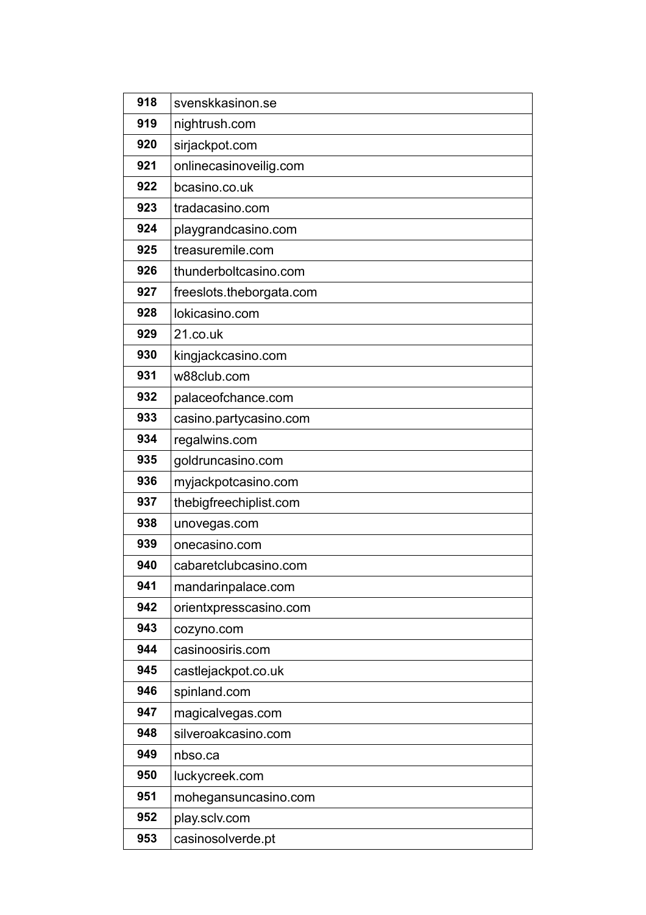| 918 | svenskkasinon.se         |
|-----|--------------------------|
| 919 | nightrush.com            |
| 920 | sirjackpot.com           |
| 921 | onlinecasinoveilig.com   |
| 922 | bcasino.co.uk            |
| 923 | tradacasino.com          |
| 924 | playgrandcasino.com      |
| 925 | treasuremile.com         |
| 926 | thunderboltcasino.com    |
| 927 | freeslots.theborgata.com |
| 928 | lokicasino.com           |
| 929 | 21.co.uk                 |
| 930 | kingjackcasino.com       |
| 931 | w88club.com              |
| 932 | palaceofchance.com       |
| 933 | casino.partycasino.com   |
| 934 | regalwins.com            |
| 935 | goldruncasino.com        |
| 936 | myjackpotcasino.com      |
| 937 | thebigfreechiplist.com   |
| 938 | unovegas.com             |
| 939 | onecasino.com            |
| 940 | cabaretclubcasino.com    |
| 941 | mandarinpalace.com       |
| 942 | orientxpresscasino.com   |
| 943 | cozyno.com               |
| 944 | casinoosiris.com         |
| 945 | castlejackpot.co.uk      |
| 946 | spinland.com             |
| 947 | magicalvegas.com         |
| 948 | silveroakcasino.com      |
| 949 | nbso.ca                  |
| 950 | luckycreek.com           |
| 951 | mohegansuncasino.com     |
| 952 | play.sclv.com            |
| 953 | casinosolverde.pt        |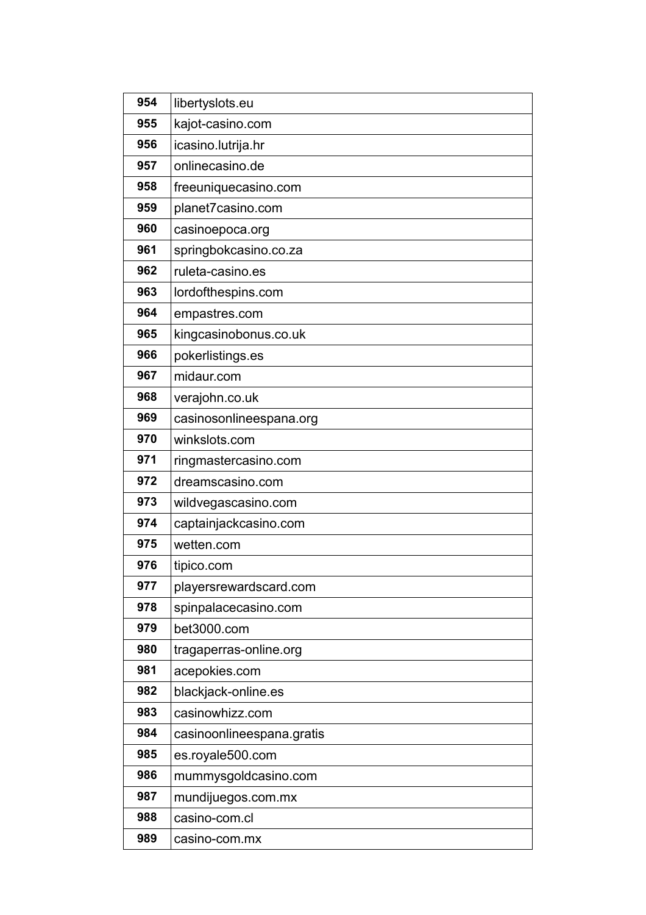| 954 | libertyslots.eu           |
|-----|---------------------------|
| 955 | kajot-casino.com          |
| 956 | icasino.lutrija.hr        |
| 957 | onlinecasino.de           |
| 958 | freeuniquecasino.com      |
| 959 | planet7casino.com         |
| 960 | casinoepoca.org           |
| 961 | springbokcasino.co.za     |
| 962 | ruleta-casino.es          |
| 963 | lordofthespins.com        |
| 964 | empastres.com             |
| 965 | kingcasinobonus.co.uk     |
| 966 | pokerlistings.es          |
| 967 | midaur.com                |
| 968 | verajohn.co.uk            |
| 969 | casinosonlineespana.org   |
| 970 | winkslots.com             |
| 971 | ringmastercasino.com      |
| 972 | dreamscasino.com          |
| 973 | wildvegascasino.com       |
| 974 | captainjackcasino.com     |
| 975 | wetten.com                |
| 976 | tipico.com                |
| 977 | playersrewardscard.com    |
| 978 | spinpalacecasino.com      |
| 979 | bet3000.com               |
| 980 | tragaperras-online.org    |
| 981 | acepokies.com             |
| 982 | blackjack-online.es       |
| 983 | casinowhizz.com           |
| 984 | casinoonlineespana.gratis |
| 985 | es.royale500.com          |
| 986 | mummysgoldcasino.com      |
| 987 | mundijuegos.com.mx        |
| 988 | casino-com.cl             |
| 989 | casino-com.mx             |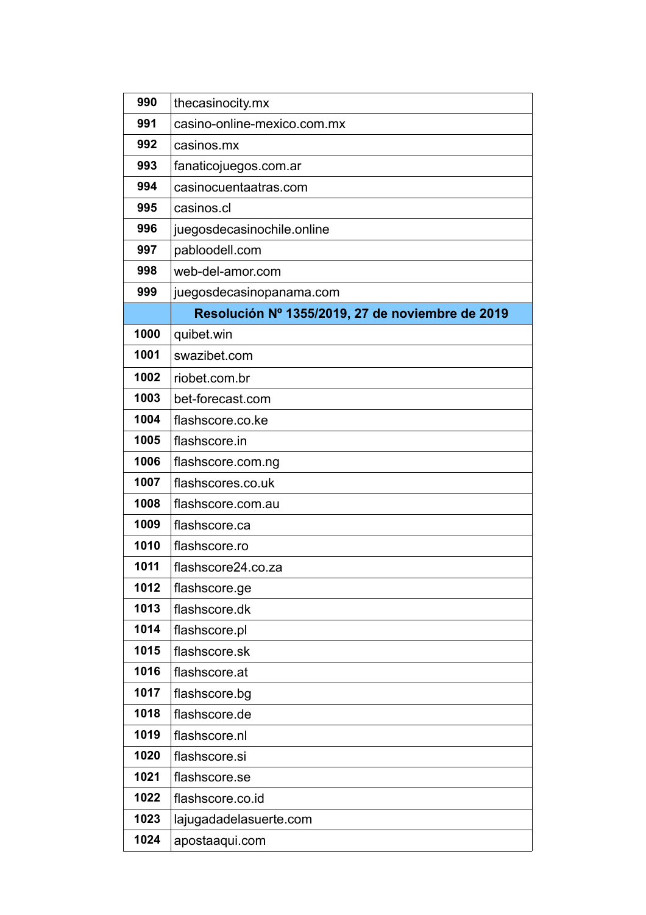| 990  | thecasinocity.mx                                 |
|------|--------------------------------------------------|
| 991  | casino-online-mexico.com.mx                      |
| 992  | casinos.mx                                       |
| 993  | fanaticojuegos.com.ar                            |
| 994  | casinocuentaatras.com                            |
| 995  | casinos.cl                                       |
| 996  | juegosdecasinochile.online                       |
| 997  | pabloodell.com                                   |
| 998  | web-del-amor.com                                 |
| 999  | juegosdecasinopanama.com                         |
|      | Resolución Nº 1355/2019, 27 de noviembre de 2019 |
| 1000 | quibet.win                                       |
| 1001 | swazibet.com                                     |
| 1002 | riobet.com.br                                    |
| 1003 | bet-forecast.com                                 |
| 1004 | flashscore.co.ke                                 |
| 1005 | flashscore.in                                    |
| 1006 | flashscore.com.ng                                |
| 1007 | flashscores.co.uk                                |
| 1008 | flashscore.com.au                                |
| 1009 | flashscore.ca                                    |
| 1010 | flashscore.ro                                    |
| 1011 | flashscore24.co.za                               |
| 1012 | flashscore.ge                                    |
| 1013 | flashscore.dk                                    |
| 1014 | flashscore.pl                                    |
| 1015 | flashscore.sk                                    |
| 1016 | flashscore.at                                    |
| 1017 | flashscore.bg                                    |
| 1018 | flashscore.de                                    |
| 1019 | flashscore.nl                                    |
| 1020 | flashscore.si                                    |
| 1021 | flashscore.se                                    |
| 1022 | flashscore.co.id                                 |
| 1023 | lajugadadelasuerte.com                           |
| 1024 | apostaaqui.com                                   |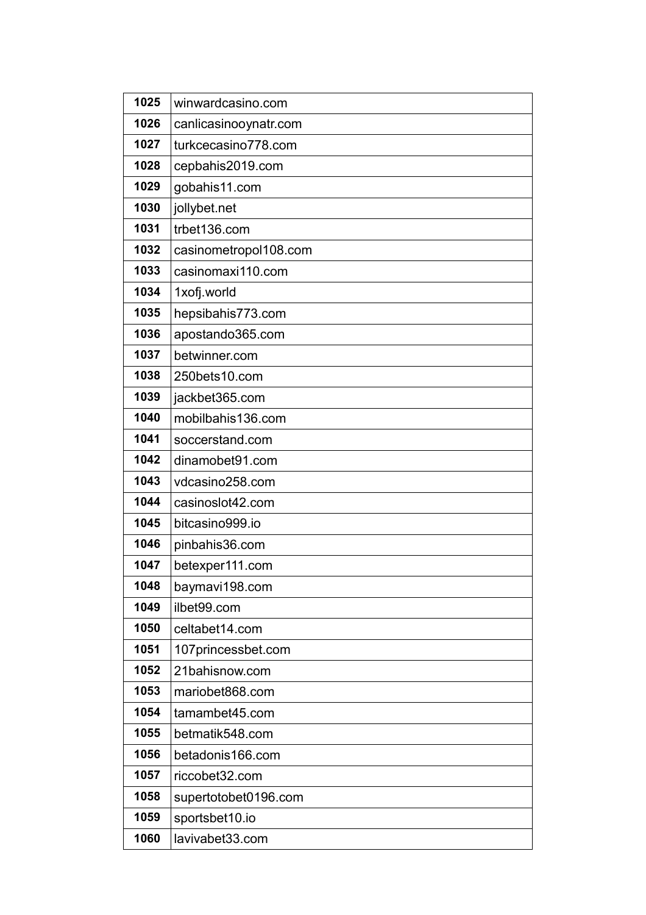| 1025 | winwardcasino.com     |
|------|-----------------------|
| 1026 | canlicasinooynatr.com |
| 1027 | turkcecasino778.com   |
| 1028 | cepbahis2019.com      |
| 1029 | gobahis11.com         |
| 1030 | jollybet.net          |
| 1031 | trbet136.com          |
| 1032 | casinometropol108.com |
| 1033 | casinomaxi110.com     |
| 1034 | 1xofj.world           |
| 1035 | hepsibahis773.com     |
| 1036 | apostando365.com      |
| 1037 | betwinner.com         |
| 1038 | 250bets10.com         |
| 1039 | jackbet365.com        |
| 1040 | mobilbahis136.com     |
| 1041 | soccerstand.com       |
| 1042 | dinamobet91.com       |
| 1043 | vdcasino258.com       |
| 1044 | casinoslot42.com      |
| 1045 | bitcasino999.io       |
| 1046 | pinbahis36.com        |
| 1047 | betexper111.com       |
| 1048 | baymavi198.com        |
| 1049 | ilbet99.com           |
| 1050 | celtabet14.com        |
| 1051 | 107princessbet.com    |
| 1052 | 21bahisnow.com        |
| 1053 | mariobet868.com       |
| 1054 | tamambet45.com        |
| 1055 | betmatik548.com       |
| 1056 | betadonis166.com      |
| 1057 | riccobet32.com        |
| 1058 | supertotobet0196.com  |
| 1059 | sportsbet10.io        |
| 1060 | lavivabet33.com       |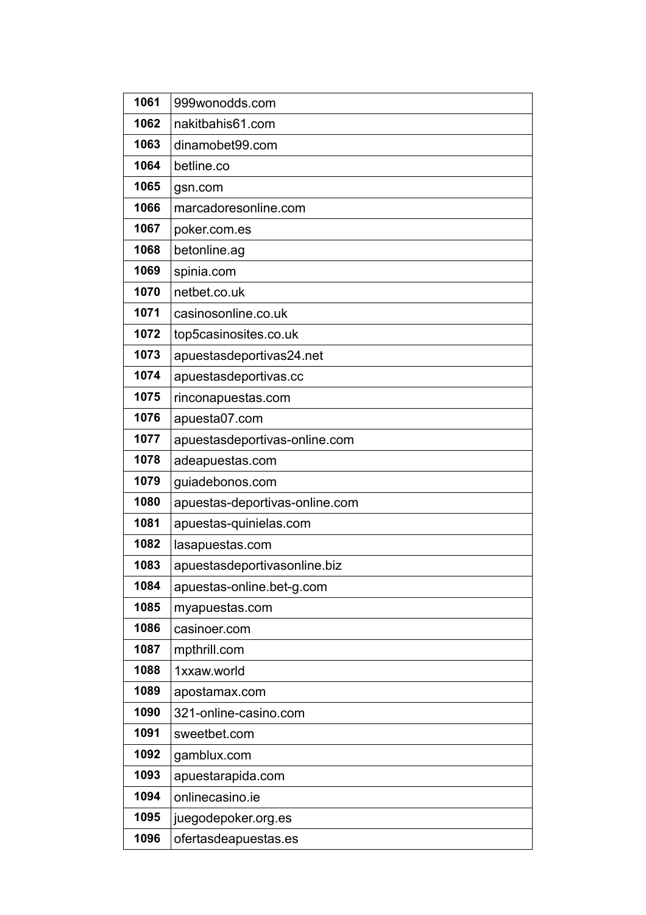| 1061 | 999wonodds.com                 |
|------|--------------------------------|
| 1062 | nakitbahis61.com               |
| 1063 | dinamobet99.com                |
| 1064 | betline.co                     |
| 1065 | gsn.com                        |
| 1066 | marcadoresonline.com           |
| 1067 | poker.com.es                   |
| 1068 | betonline.ag                   |
| 1069 | spinia.com                     |
| 1070 | netbet.co.uk                   |
| 1071 | casinosonline.co.uk            |
| 1072 | top5casinosites.co.uk          |
| 1073 | apuestasdeportivas24.net       |
| 1074 | apuestasdeportivas.cc          |
| 1075 | rinconapuestas.com             |
| 1076 | apuesta07.com                  |
| 1077 | apuestasdeportivas-online.com  |
| 1078 | adeapuestas.com                |
| 1079 | guiadebonos.com                |
| 1080 | apuestas-deportivas-online.com |
| 1081 | apuestas-quinielas.com         |
| 1082 | lasapuestas.com                |
| 1083 | apuestasdeportivasonline.biz   |
| 1084 | apuestas-online.bet-g.com      |
| 1085 | myapuestas.com                 |
| 1086 | casinoer.com                   |
| 1087 | mpthrill.com                   |
| 1088 | 1xxaw.world                    |
| 1089 | apostamax.com                  |
| 1090 | 321-online-casino.com          |
| 1091 | sweetbet.com                   |
| 1092 | gamblux.com                    |
|      |                                |
| 1093 | apuestarapida.com              |
| 1094 | onlinecasino.ie                |
| 1095 | juegodepoker.org.es            |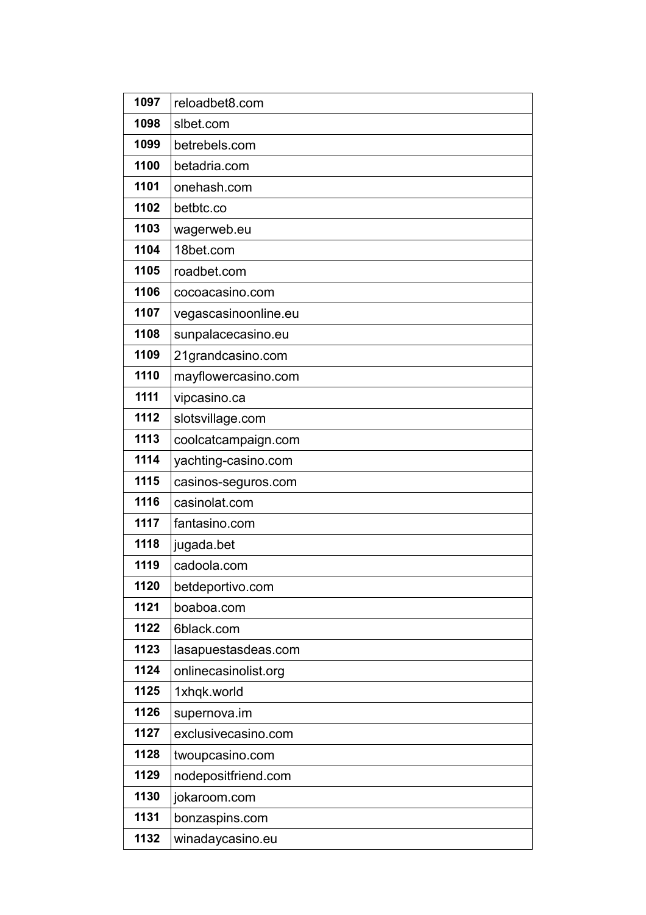| 1097 | reloadbet8.com       |
|------|----------------------|
| 1098 | slbet.com            |
| 1099 | betrebels.com        |
| 1100 | betadria.com         |
| 1101 | onehash.com          |
| 1102 | betbtc.co            |
| 1103 | wagerweb.eu          |
| 1104 | 18bet.com            |
| 1105 | roadbet.com          |
| 1106 | cocoacasino.com      |
| 1107 | vegascasinoonline.eu |
| 1108 | sunpalacecasino.eu   |
| 1109 | 21grandcasino.com    |
| 1110 | mayflowercasino.com  |
| 1111 | vipcasino.ca         |
| 1112 | slotsvillage.com     |
| 1113 | coolcatcampaign.com  |
| 1114 | yachting-casino.com  |
| 1115 | casinos-seguros.com  |
| 1116 | casinolat.com        |
| 1117 | fantasino.com        |
| 1118 | jugada.bet           |
| 1119 | cadoola.com          |
| 1120 | betdeportivo.com     |
| 1121 | boaboa.com           |
| 1122 | 6black.com           |
| 1123 | lasapuestasdeas.com  |
| 1124 | onlinecasinolist.org |
| 1125 | 1xhqk.world          |
| 1126 | supernova.im         |
| 1127 | exclusivecasino.com  |
| 1128 | twoupcasino.com      |
| 1129 | nodepositfriend.com  |
| 1130 | jokaroom.com         |
| 1131 | bonzaspins.com       |
| 1132 | winadaycasino.eu     |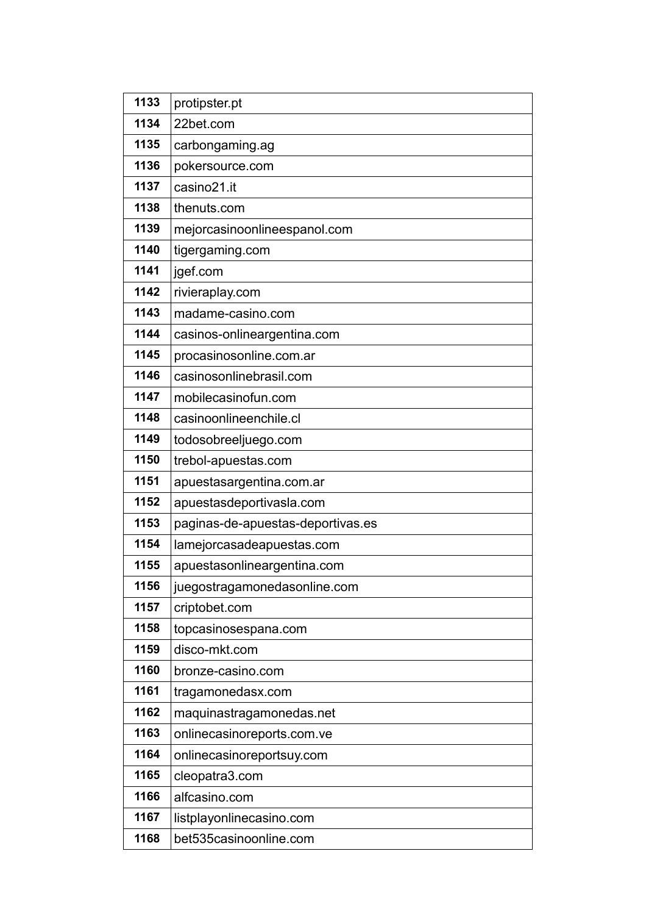| 1133 | protipster.pt                     |
|------|-----------------------------------|
| 1134 | 22bet.com                         |
| 1135 | carbongaming.ag                   |
| 1136 | pokersource.com                   |
| 1137 | casino21.it                       |
| 1138 | thenuts.com                       |
| 1139 | mejorcasinoonlineespanol.com      |
| 1140 | tigergaming.com                   |
| 1141 | jgef.com                          |
| 1142 | rivieraplay.com                   |
| 1143 | madame-casino.com                 |
| 1144 | casinos-onlineargentina.com       |
| 1145 | procasinosonline.com.ar           |
| 1146 | casinosonlinebrasil.com           |
| 1147 | mobilecasinofun.com               |
| 1148 | casinoonlineenchile.cl            |
| 1149 | todosobreeljuego.com              |
| 1150 | trebol-apuestas.com               |
|      |                                   |
| 1151 | apuestasargentina.com.ar          |
| 1152 | apuestasdeportivasla.com          |
| 1153 | paginas-de-apuestas-deportivas.es |
| 1154 | lamejorcasadeapuestas.com         |
| 1155 | apuestasonlineargentina.com       |
| 1156 | juegostragamonedasonline.com      |
| 1157 | criptobet.com                     |
| 1158 | topcasinosespana.com              |
| 1159 | disco-mkt.com                     |
| 1160 | bronze-casino.com                 |
| 1161 | tragamonedasx.com                 |
| 1162 | maquinastragamonedas.net          |
| 1163 | onlinecasinoreports.com.ve        |
| 1164 | onlinecasinoreportsuy.com         |
| 1165 | cleopatra3.com                    |
| 1166 | alfcasino.com                     |
| 1167 | listplayonlinecasino.com          |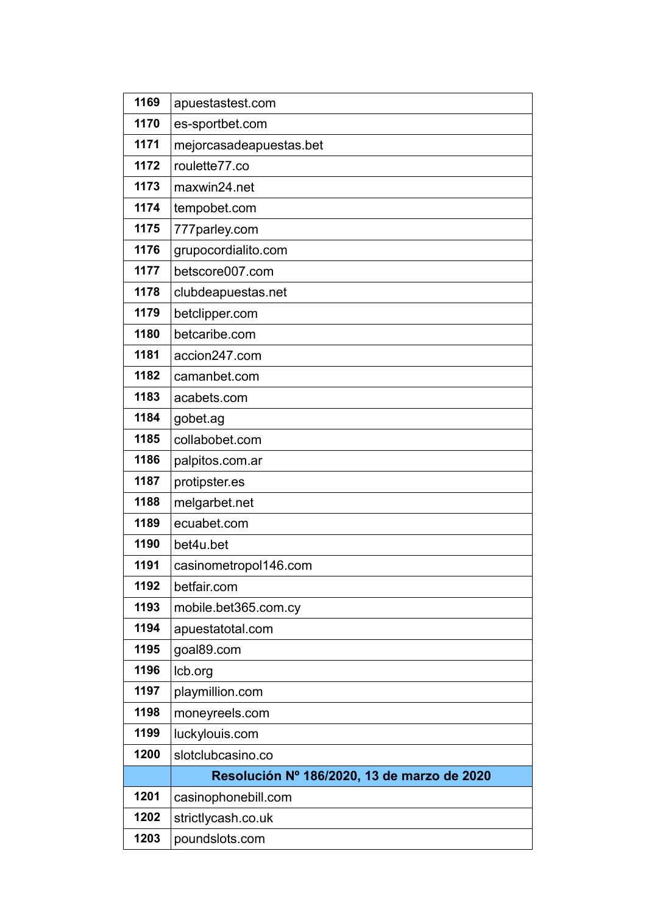| 1169 | apuestastest.com                            |
|------|---------------------------------------------|
| 1170 | es-sportbet.com                             |
| 1171 | mejorcasadeapuestas.bet                     |
| 1172 | roulette77.co                               |
| 1173 | maxwin24.net                                |
| 1174 | tempobet.com                                |
| 1175 | 777parley.com                               |
| 1176 | grupocordialito.com                         |
| 1177 | betscore007.com                             |
| 1178 | clubdeapuestas.net                          |
| 1179 | betclipper.com                              |
| 1180 | betcaribe.com                               |
| 1181 | accion247.com                               |
| 1182 | camanbet.com                                |
| 1183 | acabets.com                                 |
| 1184 | gobet.ag                                    |
| 1185 | collabobet.com                              |
| 1186 | palpitos.com.ar                             |
| 1187 | protipster.es                               |
| 1188 | melgarbet.net                               |
| 1189 | ecuabet.com                                 |
| 1190 | bet4u.bet                                   |
| 1191 | casinometropol146.com                       |
| 1192 | betfair.com                                 |
| 1193 | mobile.bet365.com.cy                        |
| 1194 | apuestatotal.com                            |
| 1195 | goal89.com                                  |
| 1196 | Icb.org                                     |
| 1197 | playmillion.com                             |
| 1198 | moneyreels.com                              |
| 1199 | luckylouis.com                              |
| 1200 | slotclubcasino.co                           |
|      | Resolución Nº 186/2020, 13 de marzo de 2020 |
| 1201 | casinophonebill.com                         |
| 1202 | strictlycash.co.uk                          |
| 1203 | poundslots.com                              |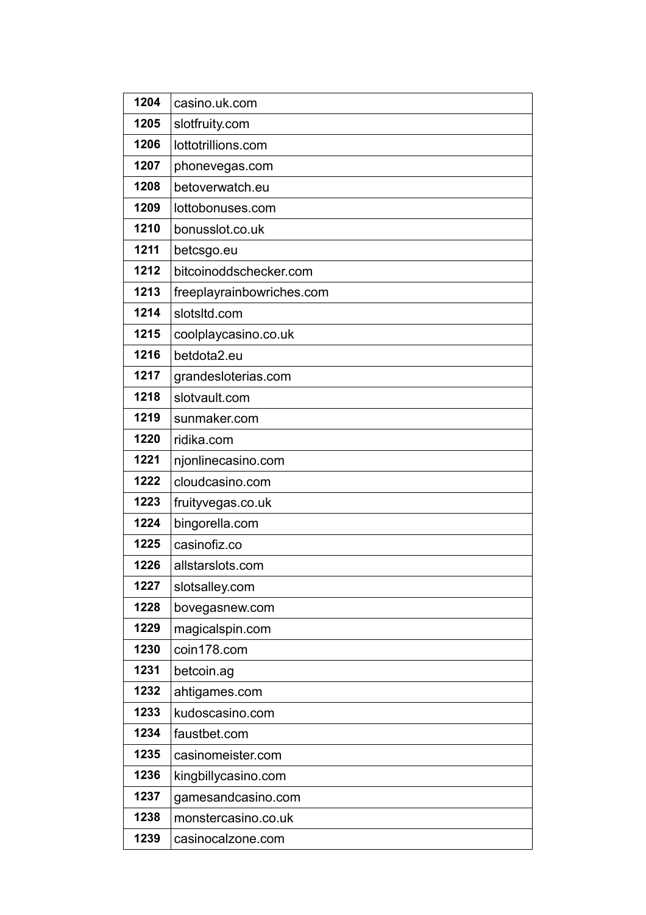| 1204 | casino.uk.com             |
|------|---------------------------|
| 1205 | slotfruity.com            |
| 1206 | lottotrillions.com        |
| 1207 | phonevegas.com            |
| 1208 | betoverwatch.eu           |
| 1209 | lottobonuses.com          |
| 1210 | bonusslot.co.uk           |
| 1211 | betcsgo.eu                |
| 1212 | bitcoinoddschecker.com    |
| 1213 | freeplayrainbowriches.com |
| 1214 | slotsltd.com              |
| 1215 | coolplaycasino.co.uk      |
| 1216 | betdota2.eu               |
| 1217 | grandesloterias.com       |
| 1218 | slotvault.com             |
| 1219 | sunmaker.com              |
| 1220 | ridika.com                |
| 1221 | njonlinecasino.com        |
| 1222 | cloudcasino.com           |
| 1223 | fruityvegas.co.uk         |
| 1224 | bingorella.com            |
| 1225 | casinofiz.co              |
| 1226 | allstarslots.com          |
| 1227 | slotsalley.com            |
| 1228 | bovegasnew.com            |
| 1229 | magicalspin.com           |
| 1230 | coin178.com               |
| 1231 | betcoin.ag                |
| 1232 | ahtigames.com             |
| 1233 | kudoscasino.com           |
| 1234 | faustbet.com              |
| 1235 | casinomeister.com         |
| 1236 | kingbillycasino.com       |
| 1237 | gamesandcasino.com        |
| 1238 | monstercasino.co.uk       |
| 1239 | casinocalzone.com         |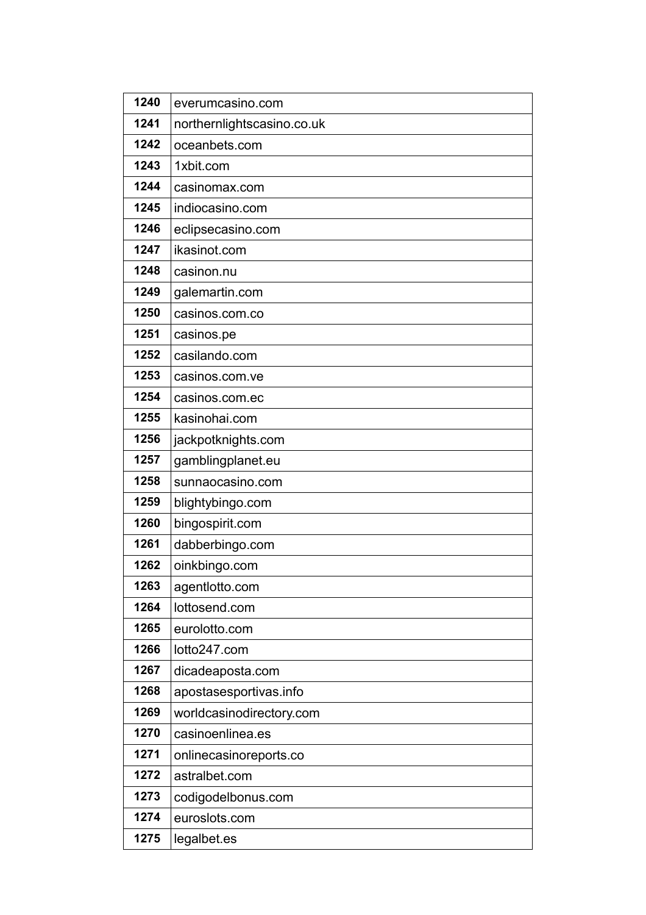| 1240 | everumcasino.com           |
|------|----------------------------|
| 1241 | northernlightscasino.co.uk |
| 1242 | oceanbets.com              |
| 1243 | 1xbit.com                  |
| 1244 | casinomax.com              |
| 1245 | indiocasino.com            |
| 1246 | eclipsecasino.com          |
| 1247 | ikasinot.com               |
| 1248 | casinon.nu                 |
| 1249 | galemartin.com             |
| 1250 | casinos.com.co             |
| 1251 | casinos.pe                 |
| 1252 | casilando.com              |
| 1253 | casinos.com.ve             |
| 1254 | casinos.com.ec             |
| 1255 | kasinohai.com              |
| 1256 | jackpotknights.com         |
| 1257 | gamblingplanet.eu          |
| 1258 | sunnaocasino.com           |
| 1259 | blightybingo.com           |
| 1260 | bingospirit.com            |
| 1261 | dabberbingo.com            |
| 1262 | oinkbingo.com              |
| 1263 | agentlotto.com             |
| 1264 | lottosend.com              |
| 1265 | eurolotto.com              |
| 1266 | lotto247.com               |
| 1267 | dicadeaposta.com           |
| 1268 | apostasesportivas.info     |
| 1269 | worldcasinodirectory.com   |
| 1270 | casinoenlinea.es           |
| 1271 | onlinecasinoreports.co     |
| 1272 | astralbet.com              |
| 1273 | codigodelbonus.com         |
| 1274 | euroslots.com              |
| 1275 | legalbet.es                |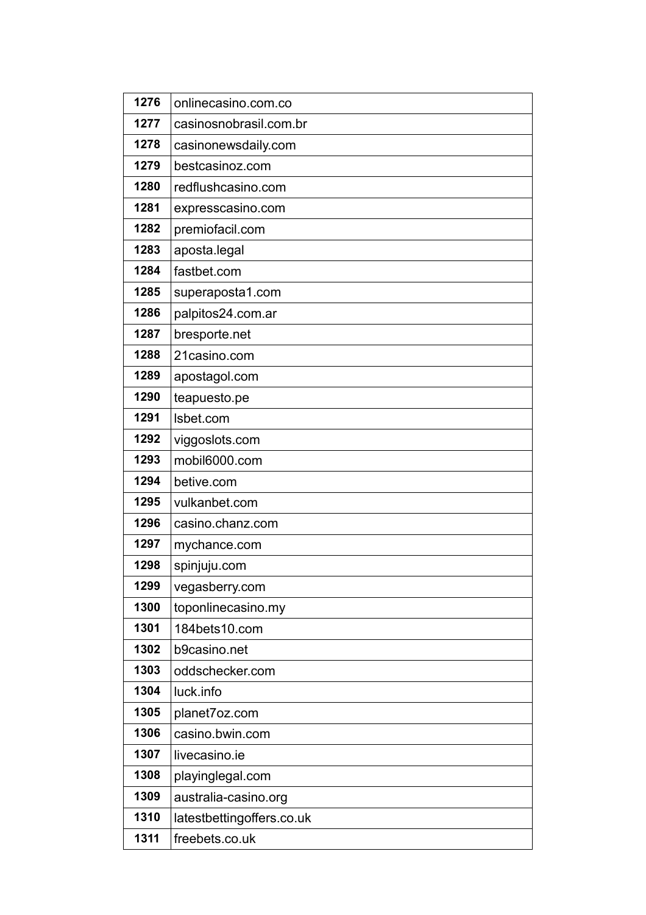| 1276 | onlinecasino.com.co        |
|------|----------------------------|
| 1277 | casinosnobrasil.com.br     |
| 1278 | casinonewsdaily.com        |
| 1279 | bestcasinoz.com            |
| 1280 | redflushcasino.com         |
| 1281 | expresscasino.com          |
| 1282 | premiofacil.com            |
| 1283 | aposta.legal               |
| 1284 | fastbet.com                |
| 1285 | superaposta1.com           |
| 1286 | palpitos24.com.ar          |
| 1287 | bresporte.net              |
| 1288 | 21 casino.com              |
| 1289 | apostagol.com              |
| 1290 | teapuesto.pe               |
| 1291 | Isbet.com                  |
| 1292 | viggoslots.com             |
| 1293 | mobil6000.com              |
| 1294 | betive.com                 |
| 1295 | vulkanbet.com              |
| 1296 | casino.chanz.com           |
| 1297 | mychance.com               |
| 1298 | spinjuju.com               |
| 1299 | vegasberry.com             |
| 1300 | toponlinecasino.my         |
| 1301 | 184bets10.com              |
| 1302 | b9casino.net               |
| 1303 | oddschecker.com            |
| 1304 | luck.info                  |
| 1305 | planet7oz.com              |
| 1306 | casino.bwin.com            |
| 1307 | livecasino.ie              |
| 1308 | playinglegal.com           |
| 1309 | australia-casino.org       |
| 1310 | latestbetting offers.co.uk |
| 1311 | freebets.co.uk             |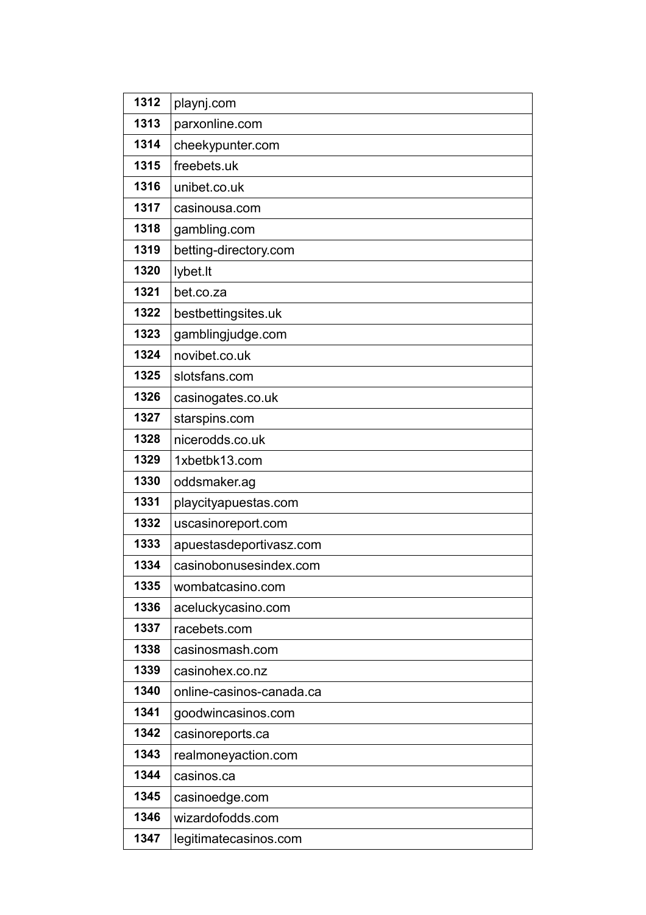| 1312 | playnj.com               |
|------|--------------------------|
| 1313 | parxonline.com           |
| 1314 | cheekypunter.com         |
| 1315 | freebets.uk              |
| 1316 | unibet.co.uk             |
| 1317 | casinousa.com            |
| 1318 | gambling.com             |
| 1319 | betting-directory.com    |
| 1320 | lybet.It                 |
| 1321 | bet.co.za                |
| 1322 | bestbettingsites.uk      |
| 1323 | gamblingjudge.com        |
| 1324 | novibet.co.uk            |
| 1325 | slotsfans.com            |
| 1326 | casinogates.co.uk        |
| 1327 | starspins.com            |
| 1328 | nicerodds.co.uk          |
| 1329 | 1xbetbk13.com            |
| 1330 | oddsmaker.ag             |
| 1331 | playcityapuestas.com     |
| 1332 | uscasinoreport.com       |
| 1333 | apuestasdeportivasz.com  |
| 1334 | casinobonusesindex.com   |
| 1335 | wombatcasino.com         |
| 1336 | aceluckycasino.com       |
| 1337 | racebets.com             |
| 1338 | casinosmash.com          |
| 1339 | casinohex.co.nz          |
| 1340 | online-casinos-canada.ca |
| 1341 | goodwincasinos.com       |
| 1342 | casinoreports.ca         |
| 1343 | realmoneyaction.com      |
| 1344 | casinos.ca               |
| 1345 | casinoedge.com           |
| 1346 | wizardofodds.com         |
| 1347 | legitimatecasinos.com    |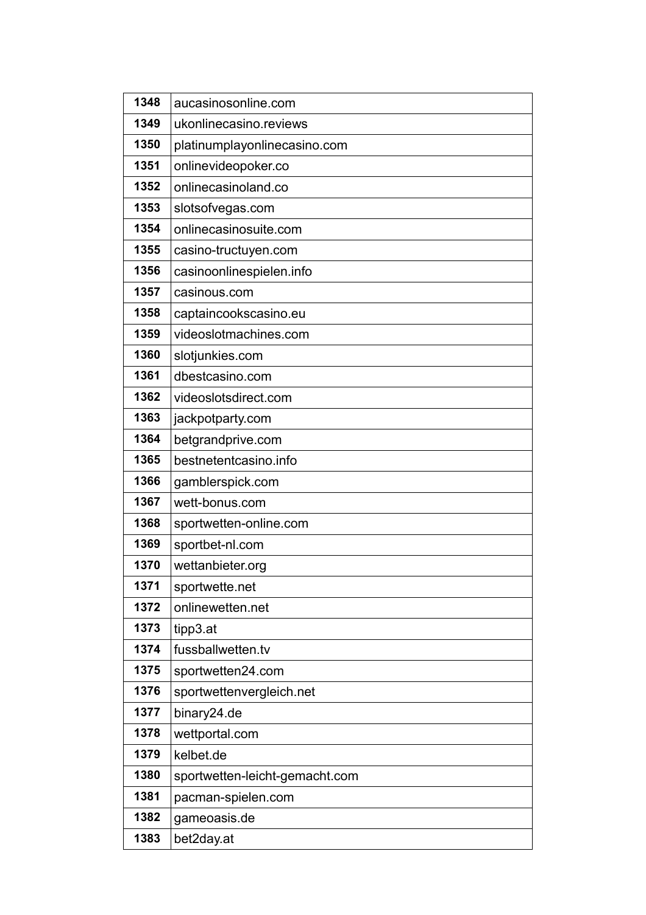| 1348 | aucasinosonline.com            |
|------|--------------------------------|
| 1349 | ukonlinecasino.reviews         |
| 1350 | platinumplayonlinecasino.com   |
| 1351 | onlinevideopoker.co            |
| 1352 | onlinecasinoland.co            |
| 1353 | slotsofvegas.com               |
| 1354 | onlinecasinosuite.com          |
| 1355 | casino-tructuyen.com           |
| 1356 | casinoonlinespielen.info       |
| 1357 | casinous.com                   |
| 1358 | captaincookscasino.eu          |
| 1359 | videoslotmachines.com          |
| 1360 | slotjunkies.com                |
| 1361 | dbestcasino.com                |
| 1362 | videoslotsdirect.com           |
| 1363 | jackpotparty.com               |
| 1364 | betgrandprive.com              |
| 1365 | bestnetentcasino.info          |
| 1366 | gamblerspick.com               |
| 1367 | wett-bonus.com                 |
| 1368 | sportwetten-online.com         |
| 1369 | sportbet-nl.com                |
| 1370 | wettanbieter.org               |
| 1371 | sportwette.net                 |
| 1372 | onlinewetten.net               |
| 1373 | tipp3.at                       |
| 1374 | fussballwetten.tv              |
| 1375 | sportwetten24.com              |
| 1376 | sportwettenvergleich.net       |
| 1377 | binary24.de                    |
| 1378 | wettportal.com                 |
| 1379 | kelbet.de                      |
| 1380 | sportwetten-leicht-gemacht.com |
| 1381 | pacman-spielen.com             |
| 1382 | gameoasis.de                   |
| 1383 | bet2day.at                     |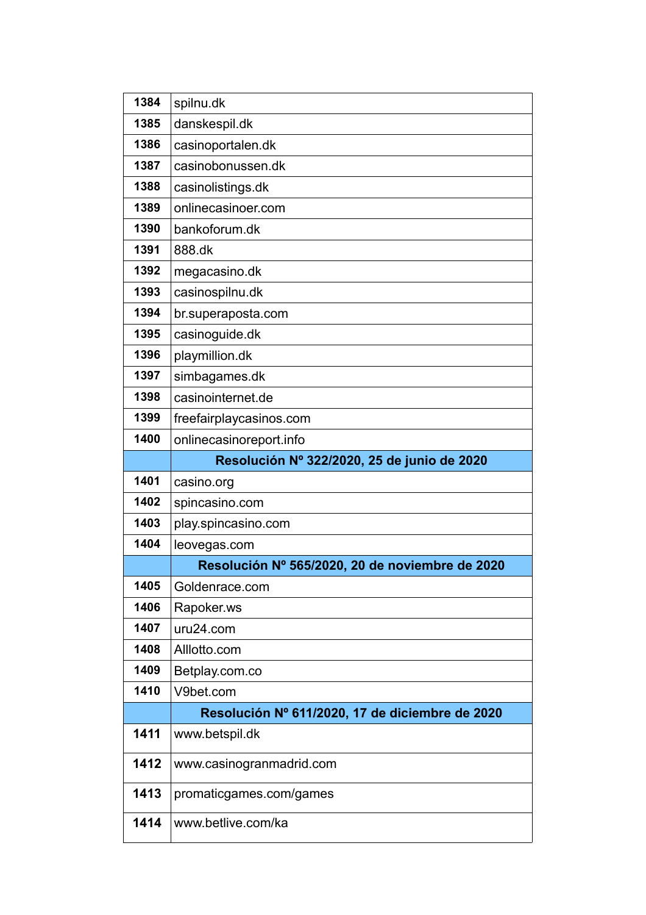| 1384 | spilnu.dk                                       |
|------|-------------------------------------------------|
| 1385 | danskespil.dk                                   |
| 1386 | casinoportalen.dk                               |
| 1387 | casinobonussen.dk                               |
| 1388 | casinolistings.dk                               |
| 1389 | onlinecasinoer.com                              |
| 1390 | bankoforum.dk                                   |
| 1391 | 888.dk                                          |
| 1392 | megacasino.dk                                   |
| 1393 | casinospilnu.dk                                 |
| 1394 | br.superaposta.com                              |
| 1395 | casinoguide.dk                                  |
| 1396 | playmillion.dk                                  |
| 1397 | simbagames.dk                                   |
| 1398 | casinointernet.de                               |
| 1399 | freefairplaycasinos.com                         |
| 1400 | onlinecasinoreport.info                         |
|      | Resolución Nº 322/2020, 25 de junio de 2020     |
| 1401 | casino.org                                      |
| 1402 | spincasino.com                                  |
| 1403 | play spincasino com                             |
| 1404 | leovegas.com                                    |
|      | Resolución Nº 565/2020, 20 de noviembre de 2020 |
| 1405 | Goldenrace.com                                  |
| 1406 | Rapoker.ws                                      |
| 1407 | uru24.com                                       |
| 1408 | Alllotto.com                                    |
| 1409 | Betplay.com.co                                  |
| 1410 | V9bet.com                                       |
|      | Resolución Nº 611/2020, 17 de diciembre de 2020 |
| 1411 | www.betspil.dk                                  |
| 1412 | www.casinogranmadrid.com                        |
| 1413 | promaticgames.com/games                         |
| 1414 | www.betlive.com/ka                              |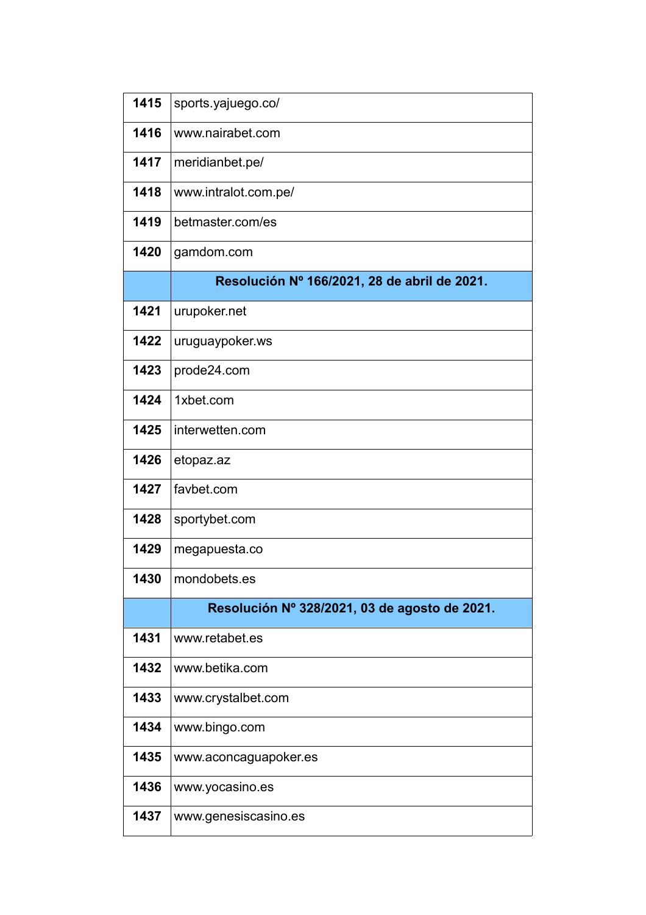| 1415 | sports.yajuego.co/                            |
|------|-----------------------------------------------|
| 1416 | www.nairabet.com                              |
| 1417 | meridianbet.pe/                               |
| 1418 | www.intralot.com.pe/                          |
| 1419 | betmaster.com/es                              |
| 1420 | gamdom.com                                    |
|      | Resolución Nº 166/2021, 28 de abril de 2021.  |
| 1421 | urupoker.net                                  |
| 1422 | uruguaypoker.ws                               |
| 1423 | prode24.com                                   |
| 1424 | 1xbet.com                                     |
| 1425 | interwetten.com                               |
| 1426 | etopaz.az                                     |
| 1427 | favbet.com                                    |
| 1428 | sportybet.com                                 |
| 1429 | megapuesta.co                                 |
| 1430 | mondobets.es                                  |
|      | Resolución Nº 328/2021, 03 de agosto de 2021. |
| 1431 | www.retabet.es                                |
| 1432 | www.betika.com                                |
| 1433 | www.crystalbet.com                            |
| 1434 | www.bingo.com                                 |
| 1435 | www.aconcaguapoker.es                         |
| 1436 | www.yocasino.es                               |
| 1437 | www.genesiscasino.es                          |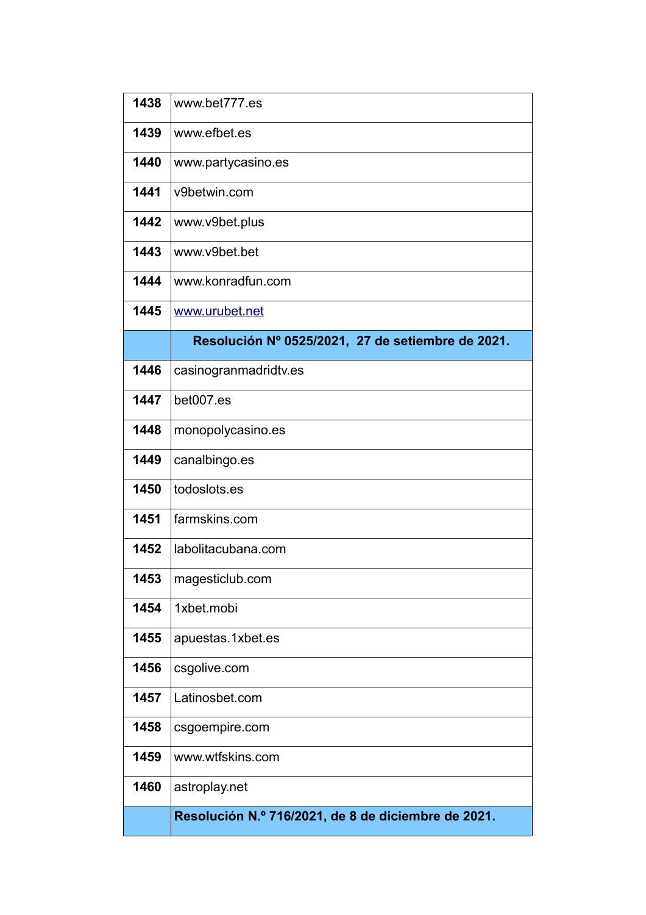| 1438 | www.bet777.es                                       |
|------|-----------------------------------------------------|
| 1439 | www.efbet.es                                        |
| 1440 | www.partycasino.es                                  |
| 1441 | v9betwin.com                                        |
| 1442 | www.v9bet.plus                                      |
| 1443 | www.v9bet.bet                                       |
| 1444 | www.konradfun.com                                   |
| 1445 | www.urubet.net                                      |
|      | Resolución Nº 0525/2021, 27 de setiembre de 2021.   |
| 1446 | casinogranmadridtv.es                               |
| 1447 | bet007.es                                           |
| 1448 | monopolycasino.es                                   |
| 1449 | canalbingo.es                                       |
| 1450 | todoslots.es                                        |
| 1451 | farmskins.com                                       |
| 1452 | labolitacubana.com                                  |
| 1453 | magesticlub.com                                     |
| 1454 | 1xbet.mobi                                          |
| 1455 | apuestas.1xbet.es                                   |
| 1456 | csgolive.com                                        |
| 1457 | Latinosbet.com                                      |
| 1458 | csgoempire.com                                      |
| 1459 | www.wtfskins.com                                    |
| 1460 | astroplay.net                                       |
|      | Resolución N.º 716/2021, de 8 de diciembre de 2021. |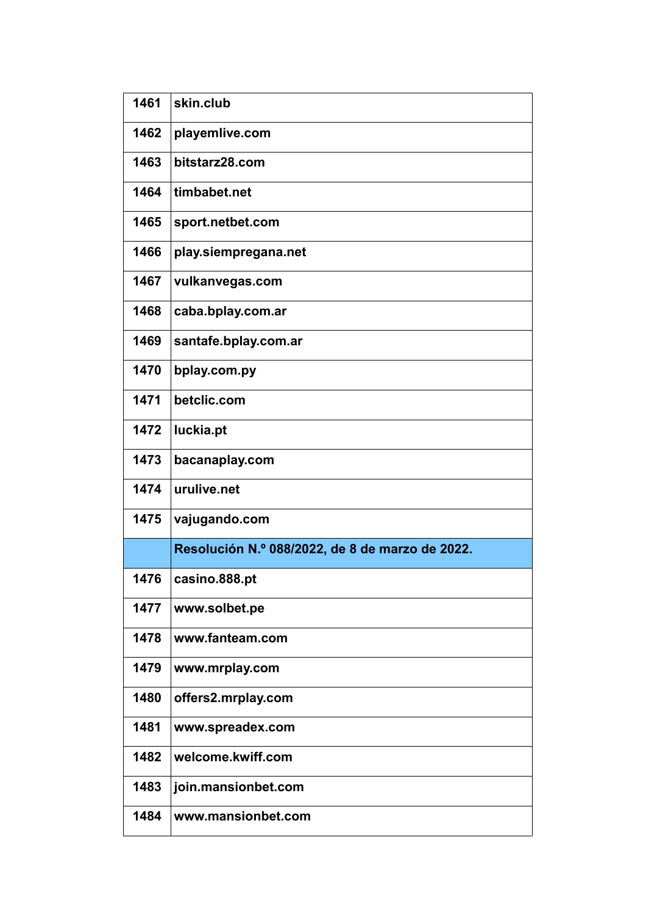| 1461 | skin.club                                       |
|------|-------------------------------------------------|
| 1462 | playemlive.com                                  |
| 1463 | bitstarz28.com                                  |
| 1464 | timbabet.net                                    |
| 1465 | sport.netbet.com                                |
| 1466 | play.siempregana.net                            |
| 1467 | vulkanvegas.com                                 |
| 1468 | caba.bplay.com.ar                               |
| 1469 | santafe.bplay.com.ar                            |
| 1470 | bplay.com.py                                    |
| 1471 | betclic.com                                     |
| 1472 | luckia.pt                                       |
| 1473 | bacanaplay.com                                  |
| 1474 | urulive.net                                     |
| 1475 | vajugando.com                                   |
|      | Resolución N.º 088/2022, de 8 de marzo de 2022. |
| 1476 | casino.888.pt                                   |
| 1477 | www.solbet.pe                                   |
| 1478 | www.fanteam.com                                 |
| 1479 | www.mrplay.com                                  |
| 1480 | offers2.mrplay.com                              |
| 1481 | www.spreadex.com                                |
| 1482 | welcome.kwiff.com                               |
| 1483 | join.mansionbet.com                             |
| 1484 | www.mansionbet.com                              |